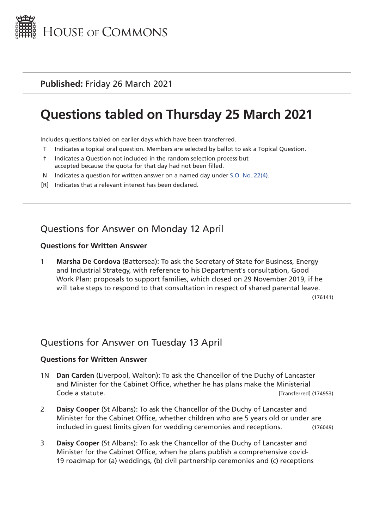

**Published:** Friday 26 March 2021

# **Questions tabled on Thursday 25 March 2021**

Includes questions tabled on earlier days which have been transferred.

- T Indicates a topical oral question. Members are selected by ballot to ask a Topical Question.
- † Indicates a Question not included in the random selection process but accepted because the quota for that day had not been filled.
- N Indicates a question for written answer on a named day under [S.O. No. 22\(4\)](http://publications.parliament.uk/pa/cm201719/cmstords/0004/body.html#22(4)).
- [R] Indicates that a relevant interest has been declared.

## Questions for Answer on Monday 12 April

#### **Questions for Written Answer**

1 **Marsha De Cordova** (Battersea): To ask the Secretary of State for Business, Energy and Industrial Strategy, with reference to his Department's consultation, Good Work Plan: proposals to support families, which closed on 29 November 2019, if he will take steps to respond to that consultation in respect of shared parental leave.

(176141)

## Questions for Answer on Tuesday 13 April

#### **Questions for Written Answer**

- 1N **Dan Carden** (Liverpool, Walton): To ask the Chancellor of the Duchy of Lancaster and Minister for the Cabinet Office, whether he has plans make the Ministerial Code a statute. [Transferred] (174953)
- 2 **Daisy Cooper** (St Albans): To ask the Chancellor of the Duchy of Lancaster and Minister for the Cabinet Office, whether children who are 5 years old or under are included in guest limits given for wedding ceremonies and receptions. (176049)
- 3 **Daisy Cooper** (St Albans): To ask the Chancellor of the Duchy of Lancaster and Minister for the Cabinet Office, when he plans publish a comprehensive covid-19 roadmap for (a) weddings, (b) civil partnership ceremonies and (c) receptions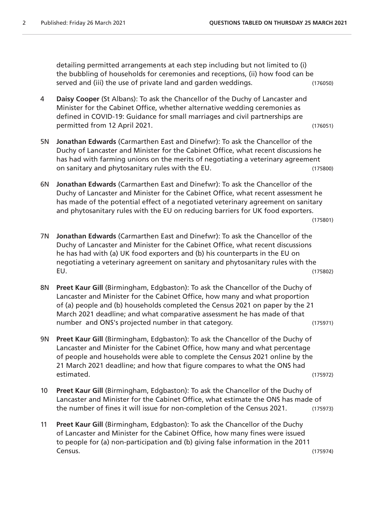detailing permitted arrangements at each step including but not limited to (i) the bubbling of households for ceremonies and receptions, (ii) how food can be served and (iii) the use of private land and garden weddings. (176050)

- 4 **Daisy Cooper** (St Albans): To ask the Chancellor of the Duchy of Lancaster and Minister for the Cabinet Office, whether alternative wedding ceremonies as defined in COVID-19: Guidance for small marriages and civil partnerships are permitted from 12 April 2021. (176051)
- 5N **Jonathan Edwards** (Carmarthen East and Dinefwr): To ask the Chancellor of the Duchy of Lancaster and Minister for the Cabinet Office, what recent discussions he has had with farming unions on the merits of negotiating a veterinary agreement on sanitary and phytosanitary rules with the EU. (175800)
- 6N **Jonathan Edwards** (Carmarthen East and Dinefwr): To ask the Chancellor of the Duchy of Lancaster and Minister for the Cabinet Office, what recent assessment he has made of the potential effect of a negotiated veterinary agreement on sanitary and phytosanitary rules with the EU on reducing barriers for UK food exporters.

```
(175801)
```
- 7N **Jonathan Edwards** (Carmarthen East and Dinefwr): To ask the Chancellor of the Duchy of Lancaster and Minister for the Cabinet Office, what recent discussions he has had with (a) UK food exporters and (b) his counterparts in the EU on negotiating a veterinary agreement on sanitary and phytosanitary rules with the EU. (175802)
- 8N **Preet Kaur Gill** (Birmingham, Edgbaston): To ask the Chancellor of the Duchy of Lancaster and Minister for the Cabinet Office, how many and what proportion of (a) people and (b) households completed the Census 2021 on paper by the 21 March 2021 deadline; and what comparative assessment he has made of that number and ONS's projected number in that category. (175971)
- 9N **Preet Kaur Gill** (Birmingham, Edgbaston): To ask the Chancellor of the Duchy of Lancaster and Minister for the Cabinet Office, how many and what percentage of people and households were able to complete the Census 2021 online by the 21 March 2021 deadline; and how that figure compares to what the ONS had estimated. (175972)
- 10 **Preet Kaur Gill** (Birmingham, Edgbaston): To ask the Chancellor of the Duchy of Lancaster and Minister for the Cabinet Office, what estimate the ONS has made of the number of fines it will issue for non-completion of the Census 2021. (175973)
- 11 **Preet Kaur Gill** (Birmingham, Edgbaston): To ask the Chancellor of the Duchy of Lancaster and Minister for the Cabinet Office, how many fines were issued to people for (a) non-participation and (b) giving false information in the 2011 Census. (175974)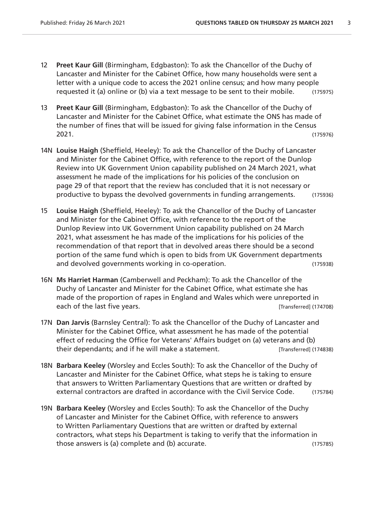- 12 **Preet Kaur Gill** (Birmingham, Edgbaston): To ask the Chancellor of the Duchy of Lancaster and Minister for the Cabinet Office, how many households were sent a letter with a unique code to access the 2021 online census; and how many people requested it (a) online or (b) via a text message to be sent to their mobile. (175975)
- 13 **Preet Kaur Gill** (Birmingham, Edgbaston): To ask the Chancellor of the Duchy of Lancaster and Minister for the Cabinet Office, what estimate the ONS has made of the number of fines that will be issued for giving false information in the Census 2021. (175976)
- 14N **Louise Haigh** (Sheffield, Heeley): To ask the Chancellor of the Duchy of Lancaster and Minister for the Cabinet Office, with reference to the report of the Dunlop Review into UK Government Union capability published on 24 March 2021, what assessment he made of the implications for his policies of the conclusion on page 29 of that report that the review has concluded that it is not necessary or productive to bypass the devolved governments in funding arrangements. (175936)
- 15 **Louise Haigh** (Sheffield, Heeley): To ask the Chancellor of the Duchy of Lancaster and Minister for the Cabinet Office, with reference to the report of the Dunlop Review into UK Government Union capability published on 24 March 2021, what assessment he has made of the implications for his policies of the recommendation of that report that in devolved areas there should be a second portion of the same fund which is open to bids from UK Government departments and devolved governments working in co-operation. (175938)
- 16N **Ms Harriet Harman** (Camberwell and Peckham): To ask the Chancellor of the Duchy of Lancaster and Minister for the Cabinet Office, what estimate she has made of the proportion of rapes in England and Wales which were unreported in each of the last five years. The second second second second second second second second second second second second second second second second second second second second second second second second second second second
- 17N **Dan Jarvis** (Barnsley Central): To ask the Chancellor of the Duchy of Lancaster and Minister for the Cabinet Office, what assessment he has made of the potential effect of reducing the Office for Veterans' Affairs budget on (a) veterans and (b) their dependants; and if he will make a statement. [Transferred] (174838)
- 18N **Barbara Keeley** (Worsley and Eccles South): To ask the Chancellor of the Duchy of Lancaster and Minister for the Cabinet Office, what steps he is taking to ensure that answers to Written Parliamentary Questions that are written or drafted by external contractors are drafted in accordance with the Civil Service Code. (175784)
- 19N **Barbara Keeley** (Worsley and Eccles South): To ask the Chancellor of the Duchy of Lancaster and Minister for the Cabinet Office, with reference to answers to Written Parliamentary Questions that are written or drafted by external contractors, what steps his Department is taking to verify that the information in those answers is (a) complete and (b) accurate. (175785)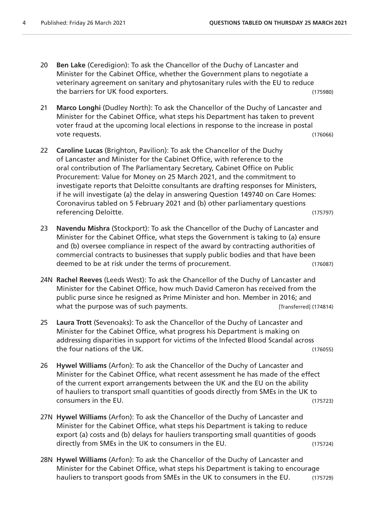- 20 **Ben Lake** (Ceredigion): To ask the Chancellor of the Duchy of Lancaster and Minister for the Cabinet Office, whether the Government plans to negotiate a veterinary agreement on sanitary and phytosanitary rules with the EU to reduce the barriers for UK food exporters. (175980)
- 21 **Marco Longhi** (Dudley North): To ask the Chancellor of the Duchy of Lancaster and Minister for the Cabinet Office, what steps his Department has taken to prevent voter fraud at the upcoming local elections in response to the increase in postal vote requests. (176066)
- 22 **Caroline Lucas** (Brighton, Pavilion): To ask the Chancellor of the Duchy of Lancaster and Minister for the Cabinet Office, with reference to the oral contribution of The Parliamentary Secretary, Cabinet Office on Public Procurement: Value for Money on 25 March 2021, and the commitment to investigate reports that Deloitte consultants are drafting responses for Ministers, if he will investigate (a) the delay in answering Question 149740 on Care Homes: Coronavirus tabled on 5 February 2021 and (b) other parliamentary questions referencing Deloitte. (175797)
- 23 **Navendu Mishra** (Stockport): To ask the Chancellor of the Duchy of Lancaster and Minister for the Cabinet Office, what steps the Government is taking to (a) ensure and (b) oversee compliance in respect of the award by contracting authorities of commercial contracts to businesses that supply public bodies and that have been deemed to be at risk under the terms of procurement. (176087)
- 24N **Rachel Reeves** (Leeds West): To ask the Chancellor of the Duchy of Lancaster and Minister for the Cabinet Office, how much David Cameron has received from the public purse since he resigned as Prime Minister and hon. Member in 2016; and what the purpose was of such payments. **Example 20** [Transferred] (174814)
- 25 **Laura Trott** (Sevenoaks): To ask the Chancellor of the Duchy of Lancaster and Minister for the Cabinet Office, what progress his Department is making on addressing disparities in support for victims of the Infected Blood Scandal across the four nations of the UK. (176055)
- 26 **Hywel Williams** (Arfon): To ask the Chancellor of the Duchy of Lancaster and Minister for the Cabinet Office, what recent assessment he has made of the effect of the current export arrangements between the UK and the EU on the ability of hauliers to transport small quantities of goods directly from SMEs in the UK to consumers in the EU. (175723)
- 27N **Hywel Williams** (Arfon): To ask the Chancellor of the Duchy of Lancaster and Minister for the Cabinet Office, what steps his Department is taking to reduce export (a) costs and (b) delays for hauliers transporting small quantities of goods directly from SMEs in the UK to consumers in the EU. (175724)
- 28N **Hywel Williams** (Arfon): To ask the Chancellor of the Duchy of Lancaster and Minister for the Cabinet Office, what steps his Department is taking to encourage hauliers to transport goods from SMEs in the UK to consumers in the EU. (175729)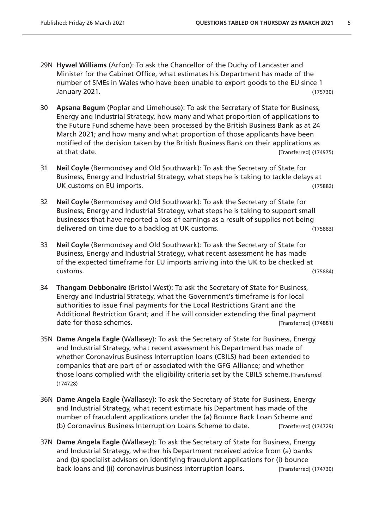- 29N **Hywel Williams** (Arfon): To ask the Chancellor of the Duchy of Lancaster and Minister for the Cabinet Office, what estimates his Department has made of the number of SMEs in Wales who have been unable to export goods to the EU since 1 January 2021. (175730)
- 30 **Apsana Begum** (Poplar and Limehouse): To ask the Secretary of State for Business, Energy and Industrial Strategy, how many and what proportion of applications to the Future Fund scheme have been processed by the British Business Bank as at 24 March 2021; and how many and what proportion of those applicants have been notified of the decision taken by the British Business Bank on their applications as at that date. [Transferred] (174975)
- 31 **Neil Coyle** (Bermondsey and Old Southwark): To ask the Secretary of State for Business, Energy and Industrial Strategy, what steps he is taking to tackle delays at UK customs on EU imports. (175882)
- 32 **Neil Coyle** (Bermondsey and Old Southwark): To ask the Secretary of State for Business, Energy and Industrial Strategy, what steps he is taking to support small businesses that have reported a loss of earnings as a result of supplies not being delivered on time due to a backlog at UK customs. (175883)
- 33 **Neil Coyle** (Bermondsey and Old Southwark): To ask the Secretary of State for Business, Energy and Industrial Strategy, what recent assessment he has made of the expected timeframe for EU imports arriving into the UK to be checked at customs. (175884)
- 34 **Thangam Debbonaire** (Bristol West): To ask the Secretary of State for Business, Energy and Industrial Strategy, what the Government's timeframe is for local authorities to issue final payments for the Local Restrictions Grant and the Additional Restriction Grant; and if he will consider extending the final payment date for those schemes.  $\blacksquare$
- 35N **Dame Angela Eagle** (Wallasey): To ask the Secretary of State for Business, Energy and Industrial Strategy, what recent assessment his Department has made of whether Coronavirus Business Interruption loans (CBILS) had been extended to companies that are part of or associated with the GFG Alliance; and whether those loans complied with the eligibility criteria set by the CBILS scheme.[Transferred] (174728)
- 36N **Dame Angela Eagle** (Wallasey): To ask the Secretary of State for Business, Energy and Industrial Strategy, what recent estimate his Department has made of the number of fraudulent applications under the (a) Bounce Back Loan Scheme and (b) Coronavirus Business Interruption Loans Scheme to date. [Transferred] (174729)
- 37N **Dame Angela Eagle** (Wallasey): To ask the Secretary of State for Business, Energy and Industrial Strategy, whether his Department received advice from (a) banks and (b) specialist advisors on identifying fraudulent applications for (i) bounce back loans and (ii) coronavirus business interruption loans. [Transferred] (174730)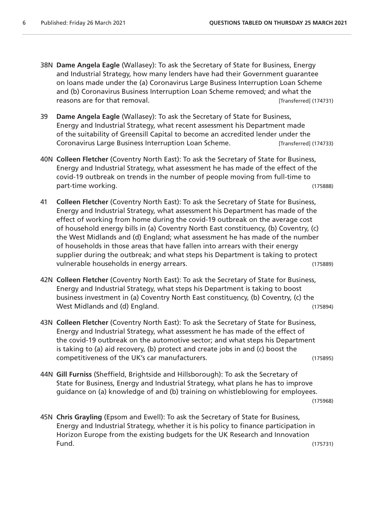- 38N **Dame Angela Eagle** (Wallasey): To ask the Secretary of State for Business, Energy and Industrial Strategy, how many lenders have had their Government guarantee on loans made under the (a) Coronavirus Large Business Interruption Loan Scheme and (b) Coronavirus Business Interruption Loan Scheme removed; and what the reasons are for that removal. The same state of the state of that removal.
- 39 **Dame Angela Eagle** (Wallasey): To ask the Secretary of State for Business, Energy and Industrial Strategy, what recent assessment his Department made of the suitability of Greensill Capital to become an accredited lender under the Coronavirus Large Business Interruption Loan Scheme. [Transferred] (174733)
- 40N **Colleen Fletcher** (Coventry North East): To ask the Secretary of State for Business, Energy and Industrial Strategy, what assessment he has made of the effect of the covid-19 outbreak on trends in the number of people moving from full-time to part-time working. (175888)
- 41 **Colleen Fletcher** (Coventry North East): To ask the Secretary of State for Business, Energy and Industrial Strategy, what assessment his Department has made of the effect of working from home during the covid-19 outbreak on the average cost of household energy bills in (a) Coventry North East constituency, (b) Coventry, (c) the West Midlands and (d) England; what assessment he has made of the number of households in those areas that have fallen into arrears with their energy supplier during the outbreak; and what steps his Department is taking to protect vulnerable households in energy arrears. (175889)
- 42N **Colleen Fletcher** (Coventry North East): To ask the Secretary of State for Business, Energy and Industrial Strategy, what steps his Department is taking to boost business investment in (a) Coventry North East constituency, (b) Coventry, (c) the West Midlands and (d) England. (175894)
- 43N **Colleen Fletcher** (Coventry North East): To ask the Secretary of State for Business, Energy and Industrial Strategy, what assessment he has made of the effect of the covid-19 outbreak on the automotive sector; and what steps his Department is taking to (a) aid recovery, (b) protect and create jobs in and (c) boost the competitiveness of the UK's car manufacturers. (175895)
- 44N **Gill Furniss** (Sheffield, Brightside and Hillsborough): To ask the Secretary of State for Business, Energy and Industrial Strategy, what plans he has to improve guidance on (a) knowledge of and (b) training on whistleblowing for employees.

(175968)

45N **Chris Grayling** (Epsom and Ewell): To ask the Secretary of State for Business, Energy and Industrial Strategy, whether it is his policy to finance participation in Horizon Europe from the existing budgets for the UK Research and Innovation Fund. (175731)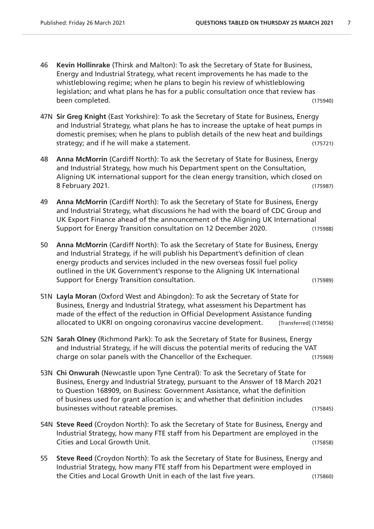- 46 **Kevin Hollinrake** (Thirsk and Malton): To ask the Secretary of State for Business, Energy and Industrial Strategy, what recent improvements he has made to the whistleblowing regime; when he plans to begin his review of whistleblowing legislation; and what plans he has for a public consultation once that review has been completed. (175940)
- 47N **Sir Greg Knight** (East Yorkshire): To ask the Secretary of State for Business, Energy and Industrial Strategy, what plans he has to increase the uptake of heat pumps in domestic premises; when he plans to publish details of the new heat and buildings strategy; and if he will make a statement. (175721)
- 48 **Anna McMorrin** (Cardiff North): To ask the Secretary of State for Business, Energy and Industrial Strategy, how much his Department spent on the Consultation, Aligning UK international support for the clean energy transition, which closed on 8 February 2021. (175987)
- 49 **Anna McMorrin** (Cardiff North): To ask the Secretary of State for Business, Energy and Industrial Strategy, what discussions he had with the board of CDC Group and UK Export Finance ahead of the announcement of the Aligning UK International Support for Energy Transition consultation on 12 December 2020. (175988)
- 50 **Anna McMorrin** (Cardiff North): To ask the Secretary of State for Business, Energy and Industrial Strategy, if he will publish his Department's definition of clean energy products and services included in the new overseas fossil fuel policy outlined in the UK Government's response to the Aligning UK International Support for Energy Transition consultation. (175989)
- 51N **Layla Moran** (Oxford West and Abingdon): To ask the Secretary of State for Business, Energy and Industrial Strategy, what assessment his Department has made of the effect of the reduction in Official Development Assistance funding allocated to UKRI on ongoing coronavirus vaccine development. [Transferred] (174956)
- 52N **Sarah Olney** (Richmond Park): To ask the Secretary of State for Business, Energy and Industrial Strategy, if he will discuss the potential merits of reducing the VAT charge on solar panels with the Chancellor of the Exchequer. (175969)
- 53N **Chi Onwurah** (Newcastle upon Tyne Central): To ask the Secretary of State for Business, Energy and Industrial Strategy, pursuant to the Answer of 18 March 2021 to Question 168909, on Business: Government Assistance, what the definition of business used for grant allocation is; and whether that definition includes businesses without rateable premises. (175845)
- 54N **Steve Reed** (Croydon North): To ask the Secretary of State for Business, Energy and Industrial Strategy, how many FTE staff from his Department are employed in the Cities and Local Growth Unit. (175858)
- 55 **Steve Reed** (Croydon North): To ask the Secretary of State for Business, Energy and Industrial Strategy, how many FTE staff from his Department were employed in the Cities and Local Growth Unit in each of the last five years. (175860)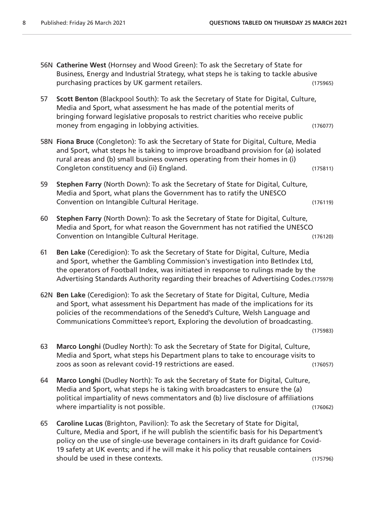- 56N **Catherine West** (Hornsey and Wood Green): To ask the Secretary of State for Business, Energy and Industrial Strategy, what steps he is taking to tackle abusive purchasing practices by UK garment retailers. The matrix of the control of the control of the control of the control of the control of the control of the control of the control of the control of the control of the control
- 57 **Scott Benton** (Blackpool South): To ask the Secretary of State for Digital, Culture, Media and Sport, what assessment he has made of the potential merits of bringing forward legislative proposals to restrict charities who receive public money from engaging in lobbying activities. The money from engaging in lobbying activities.
- 58N **Fiona Bruce** (Congleton): To ask the Secretary of State for Digital, Culture, Media and Sport, what steps he is taking to improve broadband provision for (a) isolated rural areas and (b) small business owners operating from their homes in (i) Congleton constituency and (ii) England. (175811)
- 59 **Stephen Farry** (North Down): To ask the Secretary of State for Digital, Culture, Media and Sport, what plans the Government has to ratify the UNESCO Convention on Intangible Cultural Heritage. (176119)
- 60 **Stephen Farry** (North Down): To ask the Secretary of State for Digital, Culture, Media and Sport, for what reason the Government has not ratified the UNESCO Convention on Intangible Cultural Heritage. (176120)
- 61 **Ben Lake** (Ceredigion): To ask the Secretary of State for Digital, Culture, Media and Sport, whether the Gambling Commission's investigation into BetIndex Ltd, the operators of Football Index, was initiated in response to rulings made by the Advertising Standards Authority regarding their breaches of Advertising Codes.(175979)
- 62N **Ben Lake** (Ceredigion): To ask the Secretary of State for Digital, Culture, Media and Sport, what assessment his Department has made of the implications for its policies of the recommendations of the Senedd's Culture, Welsh Language and Communications Committee's report, Exploring the devolution of broadcasting.

(175983)

- 63 **Marco Longhi** (Dudley North): To ask the Secretary of State for Digital, Culture, Media and Sport, what steps his Department plans to take to encourage visits to zoos as soon as relevant covid-19 restrictions are eased. (176057)
- 64 **Marco Longhi** (Dudley North): To ask the Secretary of State for Digital, Culture, Media and Sport, what steps he is taking with broadcasters to ensure the (a) political impartiality of news commentators and (b) live disclosure of affiliations where impartiality is not possible. (176062)
- 65 **Caroline Lucas** (Brighton, Pavilion): To ask the Secretary of State for Digital, Culture, Media and Sport, if he will publish the scientific basis for his Department's policy on the use of single-use beverage containers in its draft guidance for Covid-19 safety at UK events; and if he will make it his policy that reusable containers should be used in these contexts. (175796)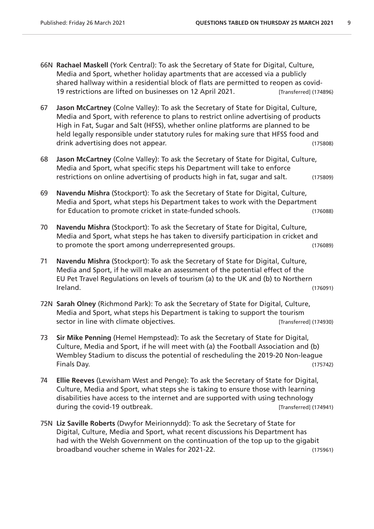- 66N **Rachael Maskell** (York Central): To ask the Secretary of State for Digital, Culture, Media and Sport, whether holiday apartments that are accessed via a publicly shared hallway within a residential block of flats are permitted to reopen as covid-19 restrictions are lifted on businesses on 12 April 2021. [Transferred] (174896)
- 67 **Jason McCartney** (Colne Valley): To ask the Secretary of State for Digital, Culture, Media and Sport, with reference to plans to restrict online advertising of products High in Fat, Sugar and Salt (HFSS), whether online platforms are planned to be held legally responsible under statutory rules for making sure that HFSS food and drink advertising does not appear. The control of the control of the control of the control of the control of the control of the control of the control of the control of the control of the control of the control of the con
- 68 **Jason McCartney** (Colne Valley): To ask the Secretary of State for Digital, Culture, Media and Sport, what specific steps his Department will take to enforce restrictions on online advertising of products high in fat, sugar and salt. (175809)
- 69 **Navendu Mishra** (Stockport): To ask the Secretary of State for Digital, Culture, Media and Sport, what steps his Department takes to work with the Department for Education to promote cricket in state-funded schools. (176088)
- 70 **Navendu Mishra** (Stockport): To ask the Secretary of State for Digital, Culture, Media and Sport, what steps he has taken to diversify participation in cricket and to promote the sport among underrepresented groups. (176089)
- 71 **Navendu Mishra** (Stockport): To ask the Secretary of State for Digital, Culture, Media and Sport, if he will make an assessment of the potential effect of the EU Pet Travel Regulations on levels of tourism (a) to the UK and (b) to Northern Ireland. (176091)
- 72N **Sarah Olney** (Richmond Park): To ask the Secretary of State for Digital, Culture, Media and Sport, what steps his Department is taking to support the tourism sector in line with climate objectives. **Example 20 and Construct** [Transferred] (174930)
- 73 **Sir Mike Penning** (Hemel Hempstead): To ask the Secretary of State for Digital, Culture, Media and Sport, if he will meet with (a) the Football Association and (b) Wembley Stadium to discuss the potential of rescheduling the 2019-20 Non-league Finals Day. (175742)
- 74 **Ellie Reeves** (Lewisham West and Penge): To ask the Secretary of State for Digital, Culture, Media and Sport, what steps she is taking to ensure those with learning disabilities have access to the internet and are supported with using technology during the covid-19 outbreak.  $\blacksquare$   $\blacksquare$  [Transferred] (174941)
- 75N **Liz Saville Roberts** (Dwyfor Meirionnydd): To ask the Secretary of State for Digital, Culture, Media and Sport, what recent discussions his Department has had with the Welsh Government on the continuation of the top up to the gigabit broadband voucher scheme in Wales for 2021-22. (175961)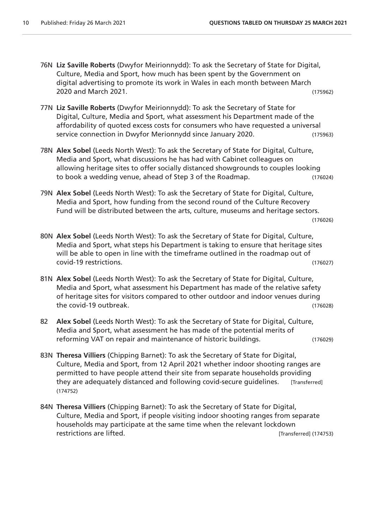- 76N **Liz Saville Roberts** (Dwyfor Meirionnydd): To ask the Secretary of State for Digital, Culture, Media and Sport, how much has been spent by the Government on digital advertising to promote its work in Wales in each month between March 2020 and March 2021. (175962)
- 77N **Liz Saville Roberts** (Dwyfor Meirionnydd): To ask the Secretary of State for Digital, Culture, Media and Sport, what assessment his Department made of the affordability of quoted excess costs for consumers who have requested a universal service connection in Dwyfor Merionnydd since January 2020. (175963)
- 78N **Alex Sobel** (Leeds North West): To ask the Secretary of State for Digital, Culture, Media and Sport, what discussions he has had with Cabinet colleagues on allowing heritage sites to offer socially distanced showgrounds to couples looking to book a wedding venue, ahead of Step 3 of the Roadmap. (176024)
- 79N **Alex Sobel** (Leeds North West): To ask the Secretary of State for Digital, Culture, Media and Sport, how funding from the second round of the Culture Recovery Fund will be distributed between the arts, culture, museums and heritage sectors.

```
(176026)
```
- 80N **Alex Sobel** (Leeds North West): To ask the Secretary of State for Digital, Culture, Media and Sport, what steps his Department is taking to ensure that heritage sites will be able to open in line with the timeframe outlined in the roadmap out of covid-19 restrictions. (176027)
- 81N **Alex Sobel** (Leeds North West): To ask the Secretary of State for Digital, Culture, Media and Sport, what assessment his Department has made of the relative safety of heritage sites for visitors compared to other outdoor and indoor venues during the covid-19 outbreak. (176028)
- 82 **Alex Sobel** (Leeds North West): To ask the Secretary of State for Digital, Culture, Media and Sport, what assessment he has made of the potential merits of reforming VAT on repair and maintenance of historic buildings. (176029)
- 83N **Theresa Villiers** (Chipping Barnet): To ask the Secretary of State for Digital, Culture, Media and Sport, from 12 April 2021 whether indoor shooting ranges are permitted to have people attend their site from separate households providing they are adequately distanced and following covid-secure guidelines. [Transferred] (174752)
- 84N **Theresa Villiers** (Chipping Barnet): To ask the Secretary of State for Digital, Culture, Media and Sport, if people visiting indoor shooting ranges from separate households may participate at the same time when the relevant lockdown restrictions are lifted. The contractions are lifted.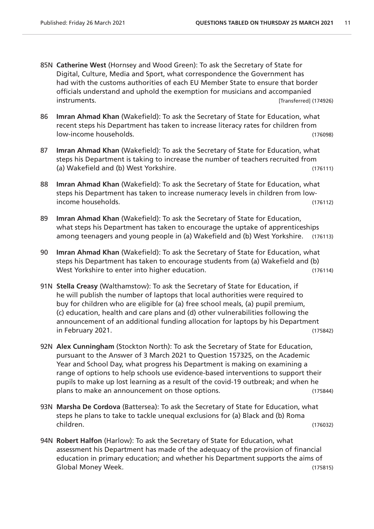- 85N **Catherine West** (Hornsey and Wood Green): To ask the Secretary of State for Digital, Culture, Media and Sport, what correspondence the Government has had with the customs authorities of each EU Member State to ensure that border officials understand and uphold the exemption for musicians and accompanied instruments. [Transferred] (174926)
- 86 **Imran Ahmad Khan** (Wakefield): To ask the Secretary of State for Education, what recent steps his Department has taken to increase literacy rates for children from low-income households. (176098)
- 87 **Imran Ahmad Khan** (Wakefield): To ask the Secretary of State for Education, what steps his Department is taking to increase the number of teachers recruited from (a) Wakefield and (b) West Yorkshire. (176111)
- 88 **Imran Ahmad Khan** (Wakefield): To ask the Secretary of State for Education, what steps his Department has taken to increase numeracy levels in children from lowincome households. (176112)
- 89 **Imran Ahmad Khan** (Wakefield): To ask the Secretary of State for Education, what steps his Department has taken to encourage the uptake of apprenticeships among teenagers and young people in (a) Wakefield and (b) West Yorkshire. (176113)
- 90 **Imran Ahmad Khan** (Wakefield): To ask the Secretary of State for Education, what steps his Department has taken to encourage students from (a) Wakefield and (b) West Yorkshire to enter into higher education. West Yorkshire to enter into higher education.
- 91N **Stella Creasy** (Walthamstow): To ask the Secretary of State for Education, if he will publish the number of laptops that local authorities were required to buy for children who are eligible for (a) free school meals, (a) pupil premium, (c) education, health and care plans and (d) other vulnerabilities following the announcement of an additional funding allocation for laptops by his Department in February 2021. (175842)
- 92N **Alex Cunningham** (Stockton North): To ask the Secretary of State for Education, pursuant to the Answer of 3 March 2021 to Question 157325, on the Academic Year and School Day, what progress his Department is making on examining a range of options to help schools use evidence-based interventions to support their pupils to make up lost learning as a result of the covid-19 outbreak; and when he plans to make an announcement on those options. (175844)
- 93N **Marsha De Cordova** (Battersea): To ask the Secretary of State for Education, what steps he plans to take to tackle unequal exclusions for (a) Black and (b) Roma children. (176032)
- 94N **Robert Halfon** (Harlow): To ask the Secretary of State for Education, what assessment his Department has made of the adequacy of the provision of financial education in primary education; and whether his Department supports the aims of Global Money Week. (175815)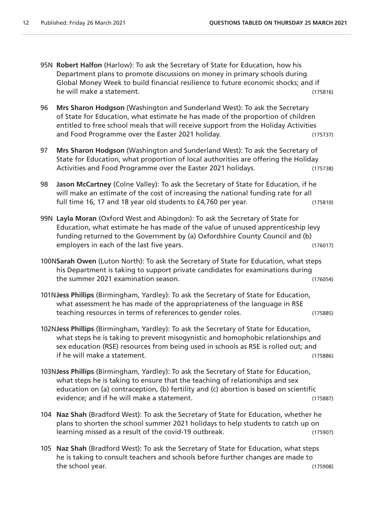- 95N **Robert Halfon** (Harlow): To ask the Secretary of State for Education, how his Department plans to promote discussions on money in primary schools during Global Money Week to build financial resilience to future economic shocks; and if he will make a statement. (175816)
- 96 **Mrs Sharon Hodgson** (Washington and Sunderland West): To ask the Secretary of State for Education, what estimate he has made of the proportion of children entitled to free school meals that will receive support from the Holiday Activities and Food Programme over the Easter 2021 holiday. (175737)
- 97 **Mrs Sharon Hodgson** (Washington and Sunderland West): To ask the Secretary of State for Education, what proportion of local authorities are offering the Holiday Activities and Food Programme over the Easter 2021 holidays. (175738)
- 98 **Jason McCartney** (Colne Valley): To ask the Secretary of State for Education, if he will make an estimate of the cost of increasing the national funding rate for all full time 16, 17 and 18 year old students to £4,760 per year. (175810)
- 99N **Layla Moran** (Oxford West and Abingdon): To ask the Secretary of State for Education, what estimate he has made of the value of unused apprenticeship levy funding returned to the Government by (a) Oxfordshire County Council and (b) employers in each of the last five years. (176017)
- 100N**Sarah Owen** (Luton North): To ask the Secretary of State for Education, what steps his Department is taking to support private candidates for examinations during the summer 2021 examination season. (176054)
- 101N**Jess Phillips** (Birmingham, Yardley): To ask the Secretary of State for Education, what assessment he has made of the appropriateness of the language in RSE teaching resources in terms of references to gender roles. (175885)
- 102N**Jess Phillips** (Birmingham, Yardley): To ask the Secretary of State for Education, what steps he is taking to prevent misogynistic and homophobic relationships and sex education (RSE) resources from being used in schools as RSE is rolled out; and if he will make a statement. (175886)
- 103N**Jess Phillips** (Birmingham, Yardley): To ask the Secretary of State for Education, what steps he is taking to ensure that the teaching of relationships and sex education on (a) contraception, (b) fertility and (c) abortion is based on scientific evidence; and if he will make a statement. (175887)
- 104 **Naz Shah** (Bradford West): To ask the Secretary of State for Education, whether he plans to shorten the school summer 2021 holidays to help students to catch up on learning missed as a result of the covid-19 outbreak. (175907)
- 105 **Naz Shah** (Bradford West): To ask the Secretary of State for Education, what steps he is taking to consult teachers and schools before further changes are made to the school year. (175908)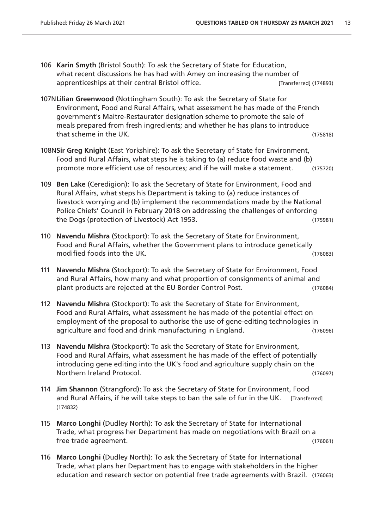- 106 **Karin Smyth** (Bristol South): To ask the Secretary of State for Education, what recent discussions he has had with Amey on increasing the number of apprenticeships at their central Bristol office. The integration of the contract (174893)
- 107N**Lilian Greenwood** (Nottingham South): To ask the Secretary of State for Environment, Food and Rural Affairs, what assessment he has made of the French government's Maitre-Restaurater designation scheme to promote the sale of meals prepared from fresh ingredients; and whether he has plans to introduce that scheme in the UK. (175818)
- 108N**Sir Greg Knight** (East Yorkshire): To ask the Secretary of State for Environment, Food and Rural Affairs, what steps he is taking to (a) reduce food waste and (b) promote more efficient use of resources; and if he will make a statement. (175720)
- 109 **Ben Lake** (Ceredigion): To ask the Secretary of State for Environment, Food and Rural Affairs, what steps his Department is taking to (a) reduce instances of livestock worrying and (b) implement the recommendations made by the National Police Chiefs' Council in February 2018 on addressing the challenges of enforcing the Dogs (protection of Livestock) Act 1953. (175981)
- 110 **Navendu Mishra** (Stockport): To ask the Secretary of State for Environment, Food and Rural Affairs, whether the Government plans to introduce genetically modified foods into the UK. (176083)
- 111 **Navendu Mishra** (Stockport): To ask the Secretary of State for Environment, Food and Rural Affairs, how many and what proportion of consignments of animal and plant products are rejected at the EU Border Control Post. (176084)
- 112 **Navendu Mishra** (Stockport): To ask the Secretary of State for Environment, Food and Rural Affairs, what assessment he has made of the potential effect on employment of the proposal to authorise the use of gene-editing technologies in agriculture and food and drink manufacturing in England. (176096)
- 113 **Navendu Mishra** (Stockport): To ask the Secretary of State for Environment, Food and Rural Affairs, what assessment he has made of the effect of potentially introducing gene editing into the UK's food and agriculture supply chain on the Northern Ireland Protocol. (176097)
- 114 **Jim Shannon** (Strangford): To ask the Secretary of State for Environment, Food and Rural Affairs, if he will take steps to ban the sale of fur in the UK. [Transferred] (174832)
- 115 **Marco Longhi** (Dudley North): To ask the Secretary of State for International Trade, what progress her Department has made on negotiations with Brazil on a free trade agreement. (176061)
- 116 **Marco Longhi** (Dudley North): To ask the Secretary of State for International Trade, what plans her Department has to engage with stakeholders in the higher education and research sector on potential free trade agreements with Brazil. (176063)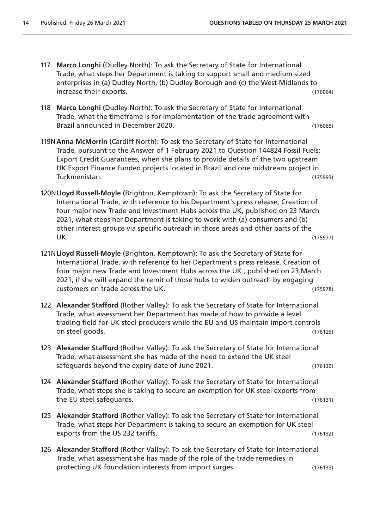- 117 **Marco Longhi** (Dudley North): To ask the Secretary of State for International Trade, what steps her Department is taking to support small and medium sized enterprises in (a) Dudley North, (b) Dudley Borough and (c) the West Midlands to increase their exports. (176064)
- 118 **Marco Longhi** (Dudley North): To ask the Secretary of State for International Trade, what the timeframe is for implementation of the trade agreement with Brazil announced in December 2020. (176065)
- 119N**Anna McMorrin** (Cardiff North): To ask the Secretary of State for International Trade, pursuant to the Answer of 1 February 2021 to Question 144824 Fossil Fuels: Export Credit Guarantees, when she plans to provide details of the two upstream UK Export Finance funded projects located in Brazil and one midstream project in Turkmenistan. (175993)
- 120N**Lloyd Russell-Moyle** (Brighton, Kemptown): To ask the Secretary of State for International Trade, with reference to his Department's press release, Creation of four major new Trade and Investment Hubs across the UK, published on 23 March 2021, what steps her Department is taking to work with (a) consumers and (b) other interest groups via specific outreach in those areas and other parts of the UK. (175977)
- 121N**Lloyd Russell-Moyle** (Brighton, Kemptown): To ask the Secretary of State for International Trade, with reference to her Department's press release, Creation of four major new Trade and Investment Hubs across the UK , published on 23 March 2021, if she will expand the remit of those hubs to widen outreach by engaging customers on trade across the UK. (175978)
- 122 **Alexander Stafford** (Rother Valley): To ask the Secretary of State for International Trade, what assessment her Department has made of how to provide a level trading field for UK steel producers while the EU and US maintain import controls on steel goods. (176129)
- 123 **Alexander Stafford** (Rother Valley): To ask the Secretary of State for International Trade, what assessment she has made of the need to extend the UK steel safeguards beyond the expiry date of June 2021. (176130)
- 124 **Alexander Stafford** (Rother Valley): To ask the Secretary of State for International Trade, what steps she is taking to secure an exemption for UK steel exports from the EU steel safeguards. (176131)
- 125 **Alexander Stafford** (Rother Valley): To ask the Secretary of State for International Trade, what steps her Department is taking to secure an exemption for UK steel exports from the US 232 tariffs. (176132)
- 126 **Alexander Stafford** (Rother Valley): To ask the Secretary of State for International Trade, what assessment she has made of the role of the trade remedies in protecting UK foundation interests from import surges. (176133)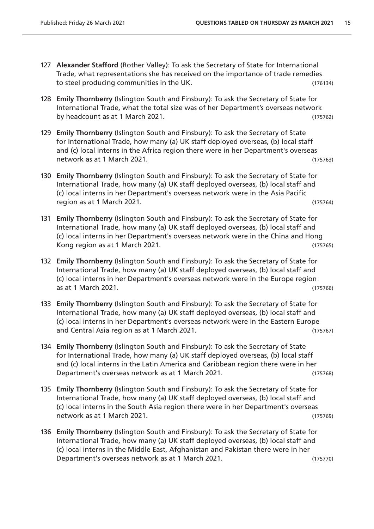- 127 **Alexander Stafford** (Rother Valley): To ask the Secretary of State for International Trade, what representations she has received on the importance of trade remedies to steel producing communities in the UK. (176134)
- 128 **Emily Thornberry** (Islington South and Finsbury): To ask the Secretary of State for International Trade, what the total size was of her Department's overseas network by headcount as at 1 March 2021. (175762)
- 129 **Emily Thornberry** (Islington South and Finsbury): To ask the Secretary of State for International Trade, how many (a) UK staff deployed overseas, (b) local staff and (c) local interns in the Africa region there were in her Department's overseas network as at 1 March 2021. Contract the contract of the contract of the contract of the contract of the contract of the contract of the contract of the contract of the contract of the contract of the contract of the contr
- 130 **Emily Thornberry** (Islington South and Finsbury): To ask the Secretary of State for International Trade, how many (a) UK staff deployed overseas, (b) local staff and (c) local interns in her Department's overseas network were in the Asia Pacific region as at 1 March 2021. (175764)
- 131 **Emily Thornberry** (Islington South and Finsbury): To ask the Secretary of State for International Trade, how many (a) UK staff deployed overseas, (b) local staff and (c) local interns in her Department's overseas network were in the China and Hong Kong region as at 1 March 2021. (175765)
- 132 **Emily Thornberry** (Islington South and Finsbury): To ask the Secretary of State for International Trade, how many (a) UK staff deployed overseas, (b) local staff and (c) local interns in her Department's overseas network were in the Europe region as at 1 March 2021. (175766)
- 133 **Emily Thornberry** (Islington South and Finsbury): To ask the Secretary of State for International Trade, how many (a) UK staff deployed overseas, (b) local staff and (c) local interns in her Department's overseas network were in the Eastern Europe and Central Asia region as at 1 March 2021. (175767)
- 134 **Emily Thornberry** (Islington South and Finsbury): To ask the Secretary of State for International Trade, how many (a) UK staff deployed overseas, (b) local staff and (c) local interns in the Latin America and Caribbean region there were in her Department's overseas network as at 1 March 2021. (175768)
- 135 **Emily Thornberry** (Islington South and Finsbury): To ask the Secretary of State for International Trade, how many (a) UK staff deployed overseas, (b) local staff and (c) local interns in the South Asia region there were in her Department's overseas network as at 1 March 2021. (175769)
- 136 **Emily Thornberry** (Islington South and Finsbury): To ask the Secretary of State for International Trade, how many (a) UK staff deployed overseas, (b) local staff and (c) local interns in the Middle East, Afghanistan and Pakistan there were in her Department's overseas network as at 1 March 2021. (175770)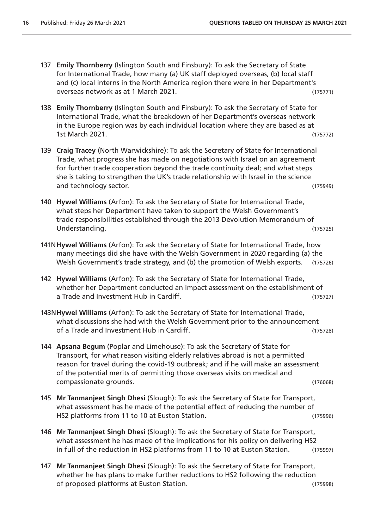- 137 **Emily Thornberry** (Islington South and Finsbury): To ask the Secretary of State for International Trade, how many (a) UK staff deployed overseas, (b) local staff and (c) local interns in the North America region there were in her Department's overseas network as at 1 March 2021. (175771)
- 138 **Emily Thornberry** (Islington South and Finsbury): To ask the Secretary of State for International Trade, what the breakdown of her Department's overseas network in the Europe region was by each individual location where they are based as at 1st March 2021. (175772)
- 139 **Craig Tracey** (North Warwickshire): To ask the Secretary of State for International Trade, what progress she has made on negotiations with Israel on an agreement for further trade cooperation beyond the trade continuity deal; and what steps she is taking to strengthen the UK's trade relationship with Israel in the science and technology sector. (175949)
- 140 **Hywel Williams** (Arfon): To ask the Secretary of State for International Trade, what steps her Department have taken to support the Welsh Government's trade responsibilities established through the 2013 Devolution Memorandum of Understanding. (175725)
- 141N**Hywel Williams** (Arfon): To ask the Secretary of State for International Trade, how many meetings did she have with the Welsh Government in 2020 regarding (a) the Welsh Government's trade strategy, and (b) the promotion of Welsh exports. (175726)
- 142 **Hywel Williams** (Arfon): To ask the Secretary of State for International Trade, whether her Department conducted an impact assessment on the establishment of a Trade and Investment Hub in Cardiff. (175727)
- 143N**Hywel Williams** (Arfon): To ask the Secretary of State for International Trade, what discussions she had with the Welsh Government prior to the announcement of a Trade and Investment Hub in Cardiff. (175728)
- 144 **Apsana Begum** (Poplar and Limehouse): To ask the Secretary of State for Transport, for what reason visiting elderly relatives abroad is not a permitted reason for travel during the covid-19 outbreak; and if he will make an assessment of the potential merits of permitting those overseas visits on medical and compassionate grounds. (176068)
- 145 **Mr Tanmanjeet Singh Dhesi** (Slough): To ask the Secretary of State for Transport, what assessment has he made of the potential effect of reducing the number of HS2 platforms from 11 to 10 at Euston Station. (175996)
- 146 **Mr Tanmanjeet Singh Dhesi** (Slough): To ask the Secretary of State for Transport, what assessment he has made of the implications for his policy on delivering HS2 in full of the reduction in HS2 platforms from 11 to 10 at Euston Station. (175997)
- 147 **Mr Tanmanjeet Singh Dhesi** (Slough): To ask the Secretary of State for Transport, whether he has plans to make further reductions to HS2 following the reduction of proposed platforms at Euston Station. (175998)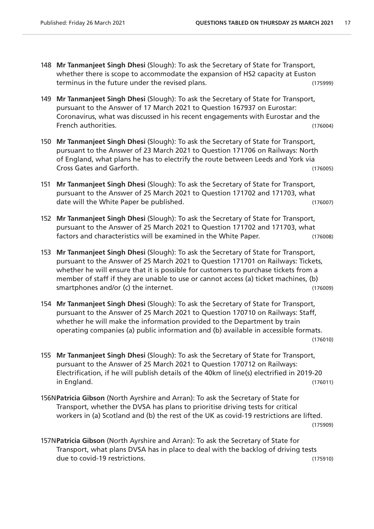- 148 **Mr Tanmanjeet Singh Dhesi** (Slough): To ask the Secretary of State for Transport, whether there is scope to accommodate the expansion of HS2 capacity at Euston terminus in the future under the revised plans. (175999)
- 149 **Mr Tanmanjeet Singh Dhesi** (Slough): To ask the Secretary of State for Transport, pursuant to the Answer of 17 March 2021 to Question 167937 on Eurostar: Coronavirus, what was discussed in his recent engagements with Eurostar and the French authorities. (176004)
- 150 **Mr Tanmanjeet Singh Dhesi** (Slough): To ask the Secretary of State for Transport, pursuant to the Answer of 23 March 2021 to Question 171706 on Railways: North of England, what plans he has to electrify the route between Leeds and York via Cross Gates and Garforth. (176005)
- 151 **Mr Tanmanjeet Singh Dhesi** (Slough): To ask the Secretary of State for Transport, pursuant to the Answer of 25 March 2021 to Question 171702 and 171703, what date will the White Paper be published. (176007)
- 152 **Mr Tanmanjeet Singh Dhesi** (Slough): To ask the Secretary of State for Transport, pursuant to the Answer of 25 March 2021 to Question 171702 and 171703, what factors and characteristics will be examined in the White Paper. (176008)
- 153 **Mr Tanmanjeet Singh Dhesi** (Slough): To ask the Secretary of State for Transport, pursuant to the Answer of 25 March 2021 to Question 171701 on Railways: Tickets, whether he will ensure that it is possible for customers to purchase tickets from a member of staff if they are unable to use or cannot access (a) ticket machines, (b) smartphones and/or (c) the internet. (176009)
- 154 **Mr Tanmanjeet Singh Dhesi** (Slough): To ask the Secretary of State for Transport, pursuant to the Answer of 25 March 2021 to Question 170710 on Railways: Staff, whether he will make the information provided to the Department by train operating companies (a) public information and (b) available in accessible formats. (176010)
- 155 **Mr Tanmanjeet Singh Dhesi** (Slough): To ask the Secretary of State for Transport, pursuant to the Answer of 25 March 2021 to Question 170712 on Railways: Electrification, if he will publish details of the 40km of line(s) electrified in 2019-20 in England. (176011)
- 156N**Patricia Gibson** (North Ayrshire and Arran): To ask the Secretary of State for Transport, whether the DVSA has plans to prioritise driving tests for critical workers in (a) Scotland and (b) the rest of the UK as covid-19 restrictions are lifted. (175909)

157N**Patricia Gibson** (North Ayrshire and Arran): To ask the Secretary of State for Transport, what plans DVSA has in place to deal with the backlog of driving tests due to covid-19 restrictions. (175910)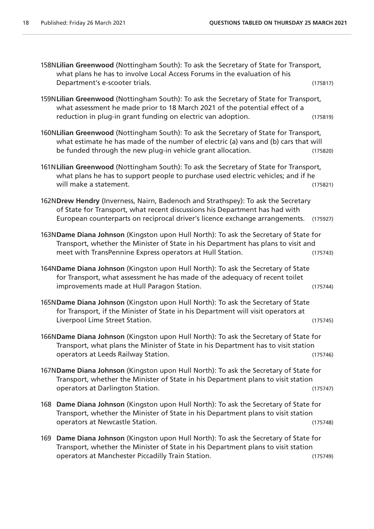| 158NLilian Greenwood (Nottingham South): To ask the Secretary of State for Transport,<br>what plans he has to involve Local Access Forums in the evaluation of his                                                                              |          |
|-------------------------------------------------------------------------------------------------------------------------------------------------------------------------------------------------------------------------------------------------|----------|
| Department's e-scooter trials.                                                                                                                                                                                                                  | (175817) |
| 159NLilian Greenwood (Nottingham South): To ask the Secretary of State for Transport,<br>what assessment he made prior to 18 March 2021 of the potential effect of a<br>reduction in plug-in grant funding on electric van adoption.            | (175819) |
| 160NLilian Greenwood (Nottingham South): To ask the Secretary of State for Transport,<br>what estimate he has made of the number of electric (a) vans and (b) cars that will<br>be funded through the new plug-in vehicle grant allocation.     | (175820) |
| 161N Lilian Greenwood (Nottingham South): To ask the Secretary of State for Transport,<br>what plans he has to support people to purchase used electric vehicles; and if he<br>will make a statement.                                           | (175821) |
| 162NDrew Hendry (Inverness, Nairn, Badenoch and Strathspey): To ask the Secretary<br>of State for Transport, what recent discussions his Department has had with<br>European counterparts on reciprocal driver's licence exchange arrangements. | (175927) |
| 163NDame Diana Johnson (Kingston upon Hull North): To ask the Secretary of State for<br>Transport, whether the Minister of State in his Department has plans to visit and<br>meet with TransPennine Express operators at Hull Station.          | (175743) |
| 164NDame Diana Johnson (Kingston upon Hull North): To ask the Secretary of State<br>for Transport, what assessment he has made of the adequacy of recent toilet<br>improvements made at Hull Paragon Station.                                   | (175744) |
| 165NDame Diana Johnson (Kingston upon Hull North): To ask the Secretary of State<br>for Transport, if the Minister of State in his Department will visit operators at<br>Liverpool Lime Street Station.                                         | (175745) |
| 166NDame Diana Johnson (Kingston upon Hull North): To ask the Secretary of State for<br>Transport, what plans the Minister of State in his Department has to visit station<br>operators at Leeds Railway Station.                               | (175746) |
| 167NDame Diana Johnson (Kingston upon Hull North): To ask the Secretary of State for<br>Transport, whether the Minister of State in his Department plans to visit station<br>operators at Darlington Station.                                   | (175747) |
| 168 Dame Diana Johnson (Kingston upon Hull North): To ask the Secretary of State for<br>Transport, whether the Minister of State in his Department plans to visit station<br>operators at Newcastle Station.                                    | (175748) |
| Dame Diana Johnson (Kingston upon Hull North): To ask the Secretary of State for<br>169<br>Transport, whether the Minister of State in his Department plans to visit station                                                                    |          |

operators at Manchester Piccadilly Train Station. (175749)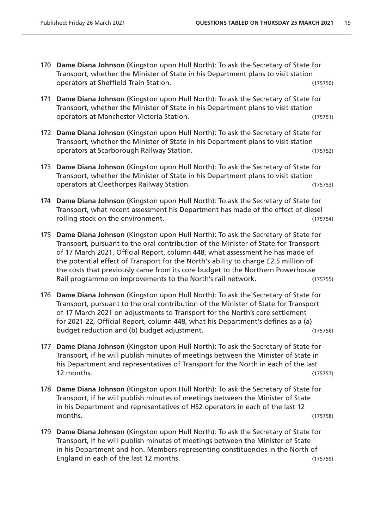- 170 **Dame Diana Johnson** (Kingston upon Hull North): To ask the Secretary of State for Transport, whether the Minister of State in his Department plans to visit station operators at Sheffield Train Station. (175750)
- 171 **Dame Diana Johnson** (Kingston upon Hull North): To ask the Secretary of State for Transport, whether the Minister of State in his Department plans to visit station operators at Manchester Victoria Station. (175751)
- 172 **Dame Diana Johnson** (Kingston upon Hull North): To ask the Secretary of State for Transport, whether the Minister of State in his Department plans to visit station operators at Scarborough Railway Station. (175752)
- 173 **Dame Diana Johnson** (Kingston upon Hull North): To ask the Secretary of State for Transport, whether the Minister of State in his Department plans to visit station operators at Cleethorpes Railway Station. (175753)
- 174 **Dame Diana Johnson** (Kingston upon Hull North): To ask the Secretary of State for Transport, what recent assessment his Department has made of the effect of diesel rolling stock on the environment. (175754)
- 175 **Dame Diana Johnson** (Kingston upon Hull North): To ask the Secretary of State for Transport, pursuant to the oral contribution of the Minister of State for Transport of 17 March 2021, Official Report, column 448, what assessment he has made of the potential effect of Transport for the North's ability to charge £2.5 million of the costs that previously came from its core budget to the Northern Powerhouse Rail programme on improvements to the North's rail network. (175755)
- 176 **Dame Diana Johnson** (Kingston upon Hull North): To ask the Secretary of State for Transport, pursuant to the oral contribution of the Minister of State for Transport of 17 March 2021 on adjustments to Transport for the North's core settlement for 2021-22, Official Report, column 448, what his Department's defines as a (a) budget reduction and (b) budget adjustment. (175756)
- 177 **Dame Diana Johnson** (Kingston upon Hull North): To ask the Secretary of State for Transport, if he will publish minutes of meetings between the Minister of State in his Department and representatives of Transport for the North in each of the last 12 months. (175757)
- 178 **Dame Diana Johnson** (Kingston upon Hull North): To ask the Secretary of State for Transport, if he will publish minutes of meetings between the Minister of State in his Department and representatives of HS2 operators in each of the last 12 months. (175758)
- 179 **Dame Diana Johnson** (Kingston upon Hull North): To ask the Secretary of State for Transport, if he will publish minutes of meetings between the Minister of State in his Department and hon. Members representing constituencies in the North of England in each of the last 12 months. (175759)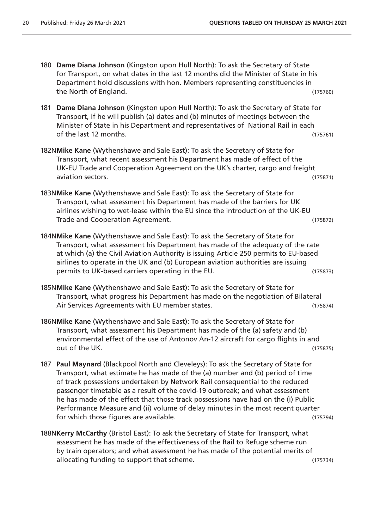- 180 **Dame Diana Johnson** (Kingston upon Hull North): To ask the Secretary of State for Transport, on what dates in the last 12 months did the Minister of State in his Department hold discussions with hon. Members representing constituencies in the North of England. (175760)
- 181 **Dame Diana Johnson** (Kingston upon Hull North): To ask the Secretary of State for Transport, if he will publish (a) dates and (b) minutes of meetings between the Minister of State in his Department and representatives of National Rail in each of the last 12 months. (175761)
- 182N**Mike Kane** (Wythenshawe and Sale East): To ask the Secretary of State for Transport, what recent assessment his Department has made of effect of the UK-EU Trade and Cooperation Agreement on the UK's charter, cargo and freight aviation sectors. (175871)
- 183N**Mike Kane** (Wythenshawe and Sale East): To ask the Secretary of State for Transport, what assessment his Department has made of the barriers for UK airlines wishing to wet-lease within the EU since the introduction of the UK-EU Trade and Cooperation Agreement. (175872)
- 184N**Mike Kane** (Wythenshawe and Sale East): To ask the Secretary of State for Transport, what assessment his Department has made of the adequacy of the rate at which (a) the Civil Aviation Authority is issuing Article 250 permits to EU-based airlines to operate in the UK and (b) European aviation authorities are issuing permits to UK-based carriers operating in the EU. (175873)
- 185N**Mike Kane** (Wythenshawe and Sale East): To ask the Secretary of State for Transport, what progress his Department has made on the negotiation of Bilateral Air Services Agreements with EU member states. (175874)
- 186N**Mike Kane** (Wythenshawe and Sale East): To ask the Secretary of State for Transport, what assessment his Department has made of the (a) safety and (b) environmental effect of the use of Antonov An-12 aircraft for cargo flights in and out of the UK. (175875)
- 187 **Paul Maynard** (Blackpool North and Cleveleys): To ask the Secretary of State for Transport, what estimate he has made of the (a) number and (b) period of time of track possessions undertaken by Network Rail consequential to the reduced passenger timetable as a result of the covid-19 outbreak; and what assessment he has made of the effect that those track possessions have had on the (i) Public Performance Measure and (ii) volume of delay minutes in the most recent quarter for which those figures are available. (175794)
- 188N**Kerry McCarthy** (Bristol East): To ask the Secretary of State for Transport, what assessment he has made of the effectiveness of the Rail to Refuge scheme run by train operators; and what assessment he has made of the potential merits of allocating funding to support that scheme. The same state of the state (175734)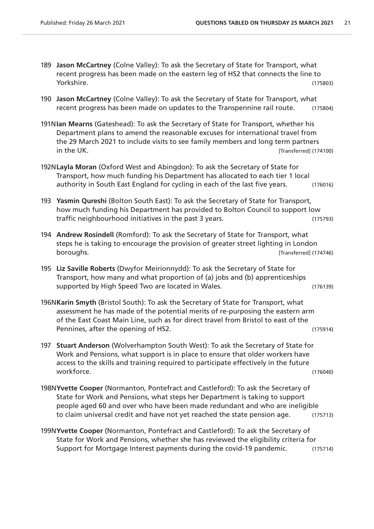- 189 **Jason McCartney** (Colne Valley): To ask the Secretary of State for Transport, what recent progress has been made on the eastern leg of HS2 that connects the line to Yorkshire. (175803)
- 190 **Jason McCartney** (Colne Valley): To ask the Secretary of State for Transport, what recent progress has been made on updates to the Transpennine rail route. (175804)
- 191N**Ian Mearns** (Gateshead): To ask the Secretary of State for Transport, whether his Department plans to amend the reasonable excuses for international travel from the 29 March 2021 to include visits to see family members and long term partners in the UK. *ITransferred* (174100)
- 192N**Layla Moran** (Oxford West and Abingdon): To ask the Secretary of State for Transport, how much funding his Department has allocated to each tier 1 local authority in South East England for cycling in each of the last five years. (176016)
- 193 **Yasmin Qureshi** (Bolton South East): To ask the Secretary of State for Transport, how much funding his Department has provided to Bolton Council to support low traffic neighbourhood initiatives in the past 3 years. (175793)
- 194 **Andrew Rosindell** (Romford): To ask the Secretary of State for Transport, what steps he is taking to encourage the provision of greater street lighting in London boroughs. [Transferred] (174746)
- 195 **Liz Saville Roberts** (Dwyfor Meirionnydd): To ask the Secretary of State for Transport, how many and what proportion of (a) jobs and (b) apprenticeships supported by High Speed Two are located in Wales. (176139)
- 196N**Karin Smyth** (Bristol South): To ask the Secretary of State for Transport, what assessment he has made of the potential merits of re-purposing the eastern arm of the East Coast Main Line, such as for direct travel from Bristol to east of the Pennines, after the opening of HS2. The same of the same of the same of the same of the same of the same of the same of the same of the same of the same of the same of the same of the same of the same of the same of the sa
- 197 **Stuart Anderson** (Wolverhampton South West): To ask the Secretary of State for Work and Pensions, what support is in place to ensure that older workers have access to the skills and training required to participate effectively in the future workforce. (176040)
- 198N**Yvette Cooper** (Normanton, Pontefract and Castleford): To ask the Secretary of State for Work and Pensions, what steps her Department is taking to support people aged 60 and over who have been made redundant and who are ineligible to claim universal credit and have not yet reached the state pension age. (175713)
- 199N**Yvette Cooper** (Normanton, Pontefract and Castleford): To ask the Secretary of State for Work and Pensions, whether she has reviewed the eligibility criteria for Support for Mortgage Interest payments during the covid-19 pandemic. (175714)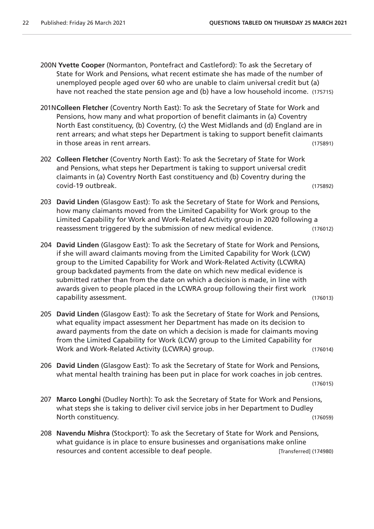- 200N **Yvette Cooper** (Normanton, Pontefract and Castleford): To ask the Secretary of State for Work and Pensions, what recent estimate she has made of the number of unemployed people aged over 60 who are unable to claim universal credit but (a) have not reached the state pension age and (b) have a low household income. (175715)
- 201N**Colleen Fletcher** (Coventry North East): To ask the Secretary of State for Work and Pensions, how many and what proportion of benefit claimants in (a) Coventry North East constituency, (b) Coventry, (c) the West Midlands and (d) England are in rent arrears; and what steps her Department is taking to support benefit claimants in those areas in rent arrears. (175891)
- 202 **Colleen Fletcher** (Coventry North East): To ask the Secretary of State for Work and Pensions, what steps her Department is taking to support universal credit claimants in (a) Coventry North East constituency and (b) Coventry during the covid-19 outbreak. (175892)
- 203 **David Linden** (Glasgow East): To ask the Secretary of State for Work and Pensions, how many claimants moved from the Limited Capability for Work group to the Limited Capability for Work and Work-Related Activity group in 2020 following a reassessment triggered by the submission of new medical evidence. (176012)
- 204 **David Linden** (Glasgow East): To ask the Secretary of State for Work and Pensions, if she will award claimants moving from the Limited Capability for Work (LCW) group to the Limited Capability for Work and Work-Related Activity (LCWRA) group backdated payments from the date on which new medical evidence is submitted rather than from the date on which a decision is made, in line with awards given to people placed in the LCWRA group following their first work capability assessment. (176013)
- 205 **David Linden** (Glasgow East): To ask the Secretary of State for Work and Pensions, what equality impact assessment her Department has made on its decision to award payments from the date on which a decision is made for claimants moving from the Limited Capability for Work (LCW) group to the Limited Capability for Work and Work-Related Activity (LCWRA) group. (176014)
- 206 **David Linden** (Glasgow East): To ask the Secretary of State for Work and Pensions, what mental health training has been put in place for work coaches in job centres.

(176015)

- 207 **Marco Longhi** (Dudley North): To ask the Secretary of State for Work and Pensions, what steps she is taking to deliver civil service jobs in her Department to Dudley North constituency. (176059)
- 208 **Navendu Mishra** (Stockport): To ask the Secretary of State for Work and Pensions, what guidance is in place to ensure businesses and organisations make online resources and content accessible to deaf people. [Transferred] (174980)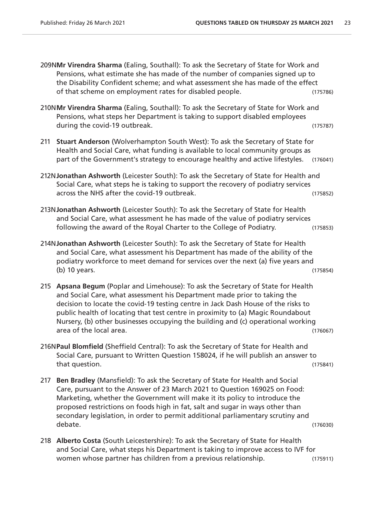- 209N**Mr Virendra Sharma** (Ealing, Southall): To ask the Secretary of State for Work and Pensions, what estimate she has made of the number of companies signed up to the Disability Confident scheme; and what assessment she has made of the effect of that scheme on employment rates for disabled people. (175786)
- 210N**Mr Virendra Sharma** (Ealing, Southall): To ask the Secretary of State for Work and Pensions, what steps her Department is taking to support disabled employees during the covid-19 outbreak. (175787)
- 211 **Stuart Anderson** (Wolverhampton South West): To ask the Secretary of State for Health and Social Care, what funding is available to local community groups as part of the Government's strategy to encourage healthy and active lifestyles. (176041)
- 212N**Jonathan Ashworth** (Leicester South): To ask the Secretary of State for Health and Social Care, what steps he is taking to support the recovery of podiatry services across the NHS after the covid-19 outbreak. (175852)
- 213N**Jonathan Ashworth** (Leicester South): To ask the Secretary of State for Health and Social Care, what assessment he has made of the value of podiatry services following the award of the Royal Charter to the College of Podiatry. (175853)

- 214N**Jonathan Ashworth** (Leicester South): To ask the Secretary of State for Health and Social Care, what assessment his Department has made of the ability of the podiatry workforce to meet demand for services over the next (a) five years and (b) 10 years. (175854)
- 215 **Apsana Begum** (Poplar and Limehouse): To ask the Secretary of State for Health and Social Care, what assessment his Department made prior to taking the decision to locate the covid-19 testing centre in Jack Dash House of the risks to public health of locating that test centre in proximity to (a) Magic Roundabout Nursery, (b) other businesses occupying the building and (c) operational working area of the local area. (176067)
- 216N**Paul Blomfield** (Sheffield Central): To ask the Secretary of State for Health and Social Care, pursuant to Written Question 158024, if he will publish an answer to that question. (175841)
- 217 **Ben Bradley** (Mansfield): To ask the Secretary of State for Health and Social Care, pursuant to the Answer of 23 March 2021 to Question 169025 on Food: Marketing, whether the Government will make it its policy to introduce the proposed restrictions on foods high in fat, salt and sugar in ways other than secondary legislation, in order to permit additional parliamentary scrutiny and debate. (176030)
- 218 **Alberto Costa** (South Leicestershire): To ask the Secretary of State for Health and Social Care, what steps his Department is taking to improve access to IVF for women whose partner has children from a previous relationship. (175911)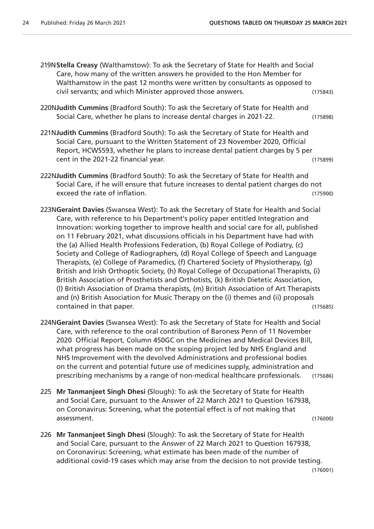- 219N**Stella Creasy** (Walthamstow): To ask the Secretary of State for Health and Social Care, how many of the written answers he provided to the Hon Member for Walthamstow in the past 12 months were written by consultants as opposed to civil servants; and which Minister approved those answers. (175843)
- 220N**Judith Cummins** (Bradford South): To ask the Secretary of State for Health and Social Care, whether he plans to increase dental charges in 2021-22. (175898)
- 221N**Judith Cummins** (Bradford South): To ask the Secretary of State for Health and Social Care, pursuant to the Written Statement of 23 November 2020, Official Report, HCWS593, whether he plans to increase dental patient charges by 5 per cent in the 2021-22 financial year. (175899)
- 222N**Judith Cummins** (Bradford South): To ask the Secretary of State for Health and Social Care, if he will ensure that future increases to dental patient charges do not exceed the rate of inflation. (175900)
- 223N**Geraint Davies** (Swansea West): To ask the Secretary of State for Health and Social Care, with reference to his Department's policy paper entitled Integration and Innovation: working together to improve health and social care for all, published on 11 February 2021, what discussions officials in his Department have had with the (a) Allied Health Professions Federation, (b) Royal College of Podiatry, (c) Society and College of Radiographers, (d) Royal College of Speech and Language Therapists, (e) College of Paramedics, (f) Chartered Society of Physiotherapy, (g) British and Irish Orthoptic Society, (h) Royal College of Occupational Therapists, (i) British Association of Prosthetists and Orthotists, (k) British Dietetic Association, (l) British Association of Drama therapists, (m) British Association of Art Therapists and (n) British Association for Music Therapy on the (i) themes and (ii) proposals contained in that paper. (175685)
- 224N**Geraint Davies** (Swansea West): To ask the Secretary of State for Health and Social Care, with reference to the oral contribution of Baroness Penn of 11 November 2020 Official Report, Column 450GC on the Medicines and Medical Devices Bill, what progress has been made on the scoping project led by NHS England and NHS Improvement with the devolved Administrations and professional bodies on the current and potential future use of medicines supply, administration and prescribing mechanisms by a range of non-medical healthcare professionals. (175686)
- 225 **Mr Tanmanjeet Singh Dhesi** (Slough): To ask the Secretary of State for Health and Social Care, pursuant to the Answer of 22 March 2021 to Question 167938, on Coronavirus: Screening, what the potential effect is of not making that assessment. (176000)
- 226 **Mr Tanmanjeet Singh Dhesi** (Slough): To ask the Secretary of State for Health and Social Care, pursuant to the Answer of 22 March 2021 to Question 167938, on Coronavirus: Screening, what estimate has been made of the number of additional covid-19 cases which may arise from the decision to not provide testing.

(176001)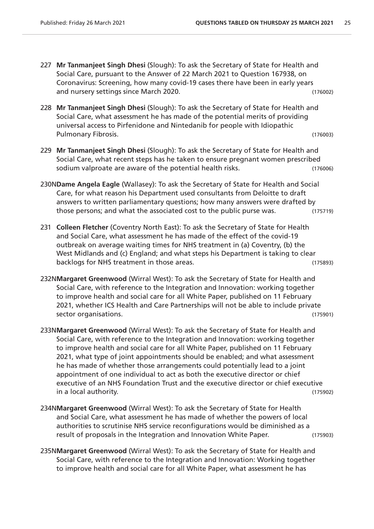- 227 **Mr Tanmanjeet Singh Dhesi** (Slough): To ask the Secretary of State for Health and Social Care, pursuant to the Answer of 22 March 2021 to Question 167938, on Coronavirus: Screening, how many covid-19 cases there have been in early years and nursery settings since March 2020. (176002)
- 228 **Mr Tanmanjeet Singh Dhesi** (Slough): To ask the Secretary of State for Health and Social Care, what assessment he has made of the potential merits of providing universal access to Pirfenidone and Nintedanib for people with Idiopathic Pulmonary Fibrosis. (176003)
- 229 **Mr Tanmanjeet Singh Dhesi** (Slough): To ask the Secretary of State for Health and Social Care, what recent steps has he taken to ensure pregnant women prescribed sodium valproate are aware of the potential health risks. (176006)
- 230N**Dame Angela Eagle** (Wallasey): To ask the Secretary of State for Health and Social Care, for what reason his Department used consultants from Deloitte to draft answers to written parliamentary questions; how many answers were drafted by those persons; and what the associated cost to the public purse was. (175719)
- 231 **Colleen Fletcher** (Coventry North East): To ask the Secretary of State for Health and Social Care, what assessment he has made of the effect of the covid-19 outbreak on average waiting times for NHS treatment in (a) Coventry, (b) the West Midlands and (c) England; and what steps his Department is taking to clear backlogs for NHS treatment in those areas. (175893)
- 232N**Margaret Greenwood** (Wirral West): To ask the Secretary of State for Health and Social Care, with reference to the Integration and Innovation: working together to improve health and social care for all White Paper, published on 11 February 2021, whether ICS Health and Care Partnerships will not be able to include private sector organisations. (175901)
- 233N**Margaret Greenwood** (Wirral West): To ask the Secretary of State for Health and Social Care, with reference to the Integration and Innovation: working together to improve health and social care for all White Paper, published on 11 February 2021, what type of joint appointments should be enabled; and what assessment he has made of whether those arrangements could potentially lead to a joint appointment of one individual to act as both the executive director or chief executive of an NHS Foundation Trust and the executive director or chief executive in a local authority. (175902)
- 234N**Margaret Greenwood** (Wirral West): To ask the Secretary of State for Health and Social Care, what assessment he has made of whether the powers of local authorities to scrutinise NHS service reconfigurations would be diminished as a result of proposals in the Integration and Innovation White Paper. (175903)
- 235N**Margaret Greenwood** (Wirral West): To ask the Secretary of State for Health and Social Care, with reference to the Integration and Innovation: Working together to improve health and social care for all White Paper, what assessment he has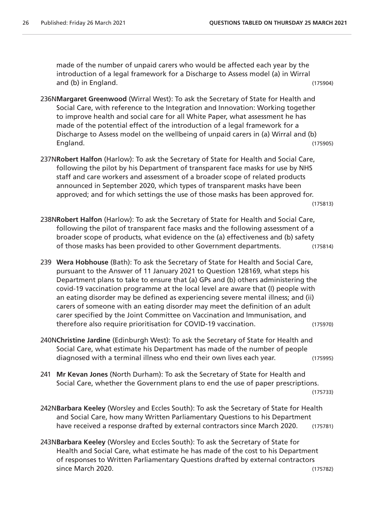made of the number of unpaid carers who would be affected each year by the introduction of a legal framework for a Discharge to Assess model (a) in Wirral and (b) in England. (175904)

- 236N**Margaret Greenwood** (Wirral West): To ask the Secretary of State for Health and Social Care, with reference to the Integration and Innovation: Working together to improve health and social care for all White Paper, what assessment he has made of the potential effect of the introduction of a legal framework for a Discharge to Assess model on the wellbeing of unpaid carers in (a) Wirral and (b) England. (175905)
- 237N**Robert Halfon** (Harlow): To ask the Secretary of State for Health and Social Care, following the pilot by his Department of transparent face masks for use by NHS staff and care workers and assessment of a broader scope of related products announced in September 2020, which types of transparent masks have been approved; and for which settings the use of those masks has been approved for. (175813)
- 238N**Robert Halfon** (Harlow): To ask the Secretary of State for Health and Social Care, following the pilot of transparent face masks and the following assessment of a broader scope of products, what evidence on the (a) effectiveness and (b) safety of those masks has been provided to other Government departments. (175814)
- 239 **Wera Hobhouse** (Bath): To ask the Secretary of State for Health and Social Care, pursuant to the Answer of 11 January 2021 to Question 128169, what steps his Department plans to take to ensure that (a) GPs and (b) others administering the covid-19 vaccination programme at the local level are aware that (I) people with an eating disorder may be defined as experiencing severe mental illness; and (ii) carers of someone with an eating disorder may meet the definition of an adult carer specified by the Joint Committee on Vaccination and Immunisation, and therefore also require prioritisation for COVID-19 vaccination. (175970)
- 240N**Christine Jardine** (Edinburgh West): To ask the Secretary of State for Health and Social Care, what estimate his Department has made of the number of people diagnosed with a terminal illness who end their own lives each year. (175995)
- 241 **Mr Kevan Jones** (North Durham): To ask the Secretary of State for Health and Social Care, whether the Government plans to end the use of paper prescriptions. (175733)
- 242N**Barbara Keeley** (Worsley and Eccles South): To ask the Secretary of State for Health and Social Care, how many Written Parliamentary Questions to his Department have received a response drafted by external contractors since March 2020. (175781)
- 243N**Barbara Keeley** (Worsley and Eccles South): To ask the Secretary of State for Health and Social Care, what estimate he has made of the cost to his Department of responses to Written Parliamentary Questions drafted by external contractors since March 2020. (175782)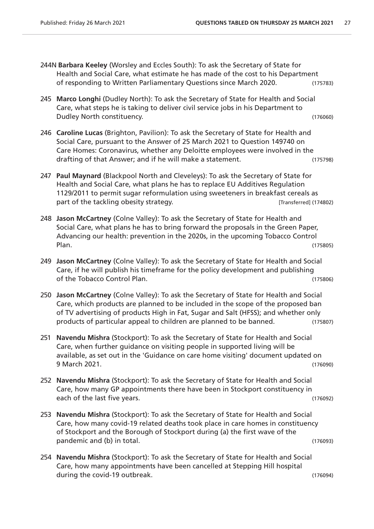- 244N **Barbara Keeley** (Worsley and Eccles South): To ask the Secretary of State for Health and Social Care, what estimate he has made of the cost to his Department of responding to Written Parliamentary Questions since March 2020. (175783)
- 245 **Marco Longhi** (Dudley North): To ask the Secretary of State for Health and Social Care, what steps he is taking to deliver civil service jobs in his Department to Dudley North constituency. (176060)
- 246 **Caroline Lucas** (Brighton, Pavilion): To ask the Secretary of State for Health and Social Care, pursuant to the Answer of 25 March 2021 to Question 149740 on Care Homes: Coronavirus, whether any Deloitte employees were involved in the drafting of that Answer; and if he will make a statement. (175798)
- 247 **Paul Maynard** (Blackpool North and Cleveleys): To ask the Secretary of State for Health and Social Care, what plans he has to replace EU Additives Regulation 1129/2011 to permit sugar reformulation using sweeteners in breakfast cereals as part of the tackling obesity strategy. The state of the tackling obesity strategy.
- 248 **Jason McCartney** (Colne Valley): To ask the Secretary of State for Health and Social Care, what plans he has to bring forward the proposals in the Green Paper, Advancing our health: prevention in the 2020s, in the upcoming Tobacco Control Plan. (175805)
- 249 **Jason McCartney** (Colne Valley): To ask the Secretary of State for Health and Social Care, if he will publish his timeframe for the policy development and publishing of the Tobacco Control Plan. (175806)
- 250 **Jason McCartney** (Colne Valley): To ask the Secretary of State for Health and Social Care, which products are planned to be included in the scope of the proposed ban of TV advertising of products High in Fat, Sugar and Salt (HFSS); and whether only products of particular appeal to children are planned to be banned. (175807)
- 251 **Navendu Mishra** (Stockport): To ask the Secretary of State for Health and Social Care, when further guidance on visiting people in supported living will be available, as set out in the 'Guidance on care home visiting' document updated on 9 March 2021. (176090)
- 252 **Navendu Mishra** (Stockport): To ask the Secretary of State for Health and Social Care, how many GP appointments there have been in Stockport constituency in each of the last five years. (176092)
- 253 **Navendu Mishra** (Stockport): To ask the Secretary of State for Health and Social Care, how many covid-19 related deaths took place in care homes in constituency of Stockport and the Borough of Stockport during (a) the first wave of the pandemic and (b) in total. (176093)
- 254 **Navendu Mishra** (Stockport): To ask the Secretary of State for Health and Social Care, how many appointments have been cancelled at Stepping Hill hospital during the covid-19 outbreak. (176094)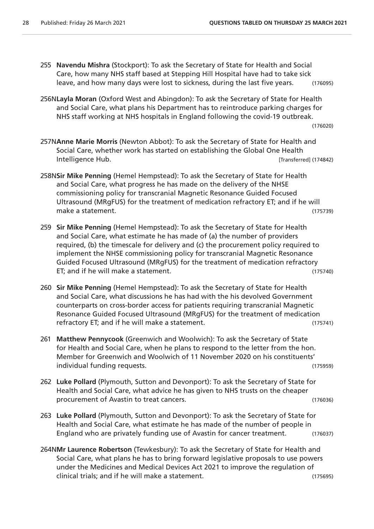- 255 **Navendu Mishra** (Stockport): To ask the Secretary of State for Health and Social Care, how many NHS staff based at Stepping Hill Hospital have had to take sick leave, and how many days were lost to sickness, during the last five years. (176095)
- 256N**Layla Moran** (Oxford West and Abingdon): To ask the Secretary of State for Health and Social Care, what plans his Department has to reintroduce parking charges for NHS staff working at NHS hospitals in England following the covid-19 outbreak.

(176020)

- 257N**Anne Marie Morris** (Newton Abbot): To ask the Secretary of State for Health and Social Care, whether work has started on establishing the Global One Health Intelligence Hub. [Transferred] (174842)
- 258N**Sir Mike Penning** (Hemel Hempstead): To ask the Secretary of State for Health and Social Care, what progress he has made on the delivery of the NHSE commissioning policy for transcranial Magnetic Resonance Guided Focused Ultrasound (MRgFUS) for the treatment of medication refractory ET; and if he will make a statement. (175739)
- 259 **Sir Mike Penning** (Hemel Hempstead): To ask the Secretary of State for Health and Social Care, what estimate he has made of (a) the number of providers required, (b) the timescale for delivery and (c) the procurement policy required to implement the NHSE commissioning policy for transcranial Magnetic Resonance Guided Focused Ultrasound (MRgFUS) for the treatment of medication refractory ET; and if he will make a statement. (175740)
- 260 **Sir Mike Penning** (Hemel Hempstead): To ask the Secretary of State for Health and Social Care, what discussions he has had with the his devolved Government counterparts on cross-border access for patients requiring transcranial Magnetic Resonance Guided Focused Ultrasound (MRgFUS) for the treatment of medication refractory ET; and if he will make a statement. (175741)
- 261 **Matthew Pennycook** (Greenwich and Woolwich): To ask the Secretary of State for Health and Social Care, when he plans to respond to the letter from the hon. Member for Greenwich and Woolwich of 11 November 2020 on his constituents' individual funding requests. (175959)
- 262 **Luke Pollard** (Plymouth, Sutton and Devonport): To ask the Secretary of State for Health and Social Care, what advice he has given to NHS trusts on the cheaper procurement of Avastin to treat cancers. The cancer of the case of the case of the case of the case of the case of the case of the case of the case of the case of the case of the case of the case of the case of the case of
- 263 **Luke Pollard** (Plymouth, Sutton and Devonport): To ask the Secretary of State for Health and Social Care, what estimate he has made of the number of people in England who are privately funding use of Avastin for cancer treatment. (176037)
- 264N**Mr Laurence Robertson** (Tewkesbury): To ask the Secretary of State for Health and Social Care, what plans he has to bring forward legislative proposals to use powers under the Medicines and Medical Devices Act 2021 to improve the regulation of clinical trials; and if he will make a statement. (175695)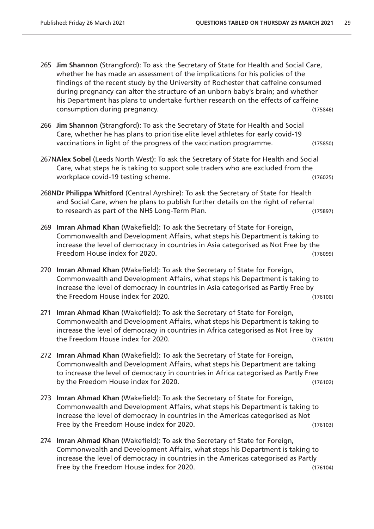- 265 **Jim Shannon** (Strangford): To ask the Secretary of State for Health and Social Care, whether he has made an assessment of the implications for his policies of the findings of the recent study by the University of Rochester that caffeine consumed during pregnancy can alter the structure of an unborn baby's brain; and whether his Department has plans to undertake further research on the effects of caffeine consumption during pregnancy. (175846)
- 266 **Jim Shannon** (Strangford): To ask the Secretary of State for Health and Social Care, whether he has plans to prioritise elite level athletes for early covid-19 vaccinations in light of the progress of the vaccination programme. (175850)
- 267N**Alex Sobel** (Leeds North West): To ask the Secretary of State for Health and Social Care, what steps he is taking to support sole traders who are excluded from the workplace covid-19 testing scheme. (176025)
- 268N**Dr Philippa Whitford** (Central Ayrshire): To ask the Secretary of State for Health and Social Care, when he plans to publish further details on the right of referral to research as part of the NHS Long-Term Plan. (175897)
- 269 **Imran Ahmad Khan** (Wakefield): To ask the Secretary of State for Foreign, Commonwealth and Development Affairs, what steps his Department is taking to increase the level of democracy in countries in Asia categorised as Not Free by the Freedom House index for 2020. (176099)
- 270 **Imran Ahmad Khan** (Wakefield): To ask the Secretary of State for Foreign, Commonwealth and Development Affairs, what steps his Department is taking to increase the level of democracy in countries in Asia categorised as Partly Free by the Freedom House index for 2020. (176100)
- 271 **Imran Ahmad Khan** (Wakefield): To ask the Secretary of State for Foreign, Commonwealth and Development Affairs, what steps his Department is taking to increase the level of democracy in countries in Africa categorised as Not Free by the Freedom House index for 2020. (176101)
- 272 **Imran Ahmad Khan** (Wakefield): To ask the Secretary of State for Foreign, Commonwealth and Development Affairs, what steps his Department are taking to increase the level of democracy in countries in Africa categorised as Partly Free by the Freedom House index for 2020. (176102)
- 273 **Imran Ahmad Khan** (Wakefield): To ask the Secretary of State for Foreign, Commonwealth and Development Affairs, what steps his Department is taking to increase the level of democracy in countries in the Americas categorised as Not Free by the Freedom House index for 2020. The same state of the free (176103)
- 274 **Imran Ahmad Khan** (Wakefield): To ask the Secretary of State for Foreign, Commonwealth and Development Affairs, what steps his Department is taking to increase the level of democracy in countries in the Americas categorised as Partly Free by the Freedom House index for 2020. The same state of the Contract of the Contract of the Contract of the Contract of the Contract of the Contract of the Contract of the Contract of the Contract of the Contract of th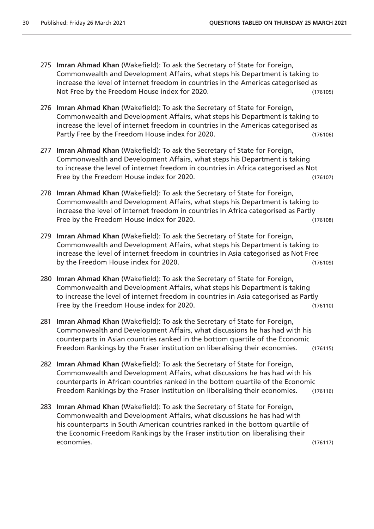- 275 **Imran Ahmad Khan** (Wakefield): To ask the Secretary of State for Foreign, Commonwealth and Development Affairs, what steps his Department is taking to increase the level of internet freedom in countries in the Americas categorised as Not Free by the Freedom House index for 2020. (176105)
- 276 **Imran Ahmad Khan** (Wakefield): To ask the Secretary of State for Foreign, Commonwealth and Development Affairs, what steps his Department is taking to increase the level of internet freedom in countries in the Americas categorised as Partly Free by the Freedom House index for 2020. (176106)
- 277 **Imran Ahmad Khan** (Wakefield): To ask the Secretary of State for Foreign, Commonwealth and Development Affairs, what steps his Department is taking to increase the level of internet freedom in countries in Africa categorised as Not Free by the Freedom House index for 2020. (176107)
- 278 **Imran Ahmad Khan** (Wakefield): To ask the Secretary of State for Foreign, Commonwealth and Development Affairs, what steps his Department is taking to increase the level of internet freedom in countries in Africa categorised as Partly Free by the Freedom House index for 2020. The same state of the free (176108)
- 279 **Imran Ahmad Khan** (Wakefield): To ask the Secretary of State for Foreign, Commonwealth and Development Affairs, what steps his Department is taking to increase the level of internet freedom in countries in Asia categorised as Not Free by the Freedom House index for 2020. (176109)
- 280 **Imran Ahmad Khan** (Wakefield): To ask the Secretary of State for Foreign, Commonwealth and Development Affairs, what steps his Department is taking to increase the level of internet freedom in countries in Asia categorised as Partly Free by the Freedom House index for 2020. The same state of the free (176110)
- 281 **Imran Ahmad Khan** (Wakefield): To ask the Secretary of State for Foreign, Commonwealth and Development Affairs, what discussions he has had with his counterparts in Asian countries ranked in the bottom quartile of the Economic Freedom Rankings by the Fraser institution on liberalising their economies. (176115)
- 282 **Imran Ahmad Khan** (Wakefield): To ask the Secretary of State for Foreign, Commonwealth and Development Affairs, what discussions he has had with his counterparts in African countries ranked in the bottom quartile of the Economic Freedom Rankings by the Fraser institution on liberalising their economies. (176116)
- 283 **Imran Ahmad Khan** (Wakefield): To ask the Secretary of State for Foreign, Commonwealth and Development Affairs, what discussions he has had with his counterparts in South American countries ranked in the bottom quartile of the Economic Freedom Rankings by the Fraser institution on liberalising their economies. (176117)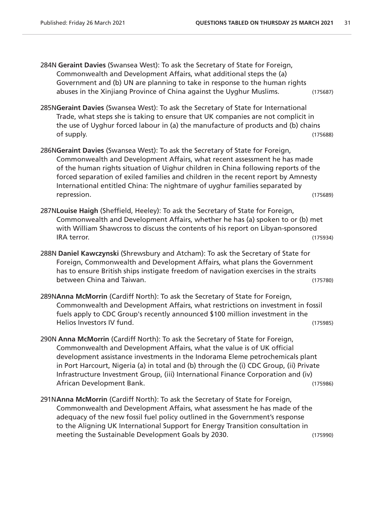- 284N **Geraint Davies** (Swansea West): To ask the Secretary of State for Foreign, Commonwealth and Development Affairs, what additional steps the (a) Government and (b) UN are planning to take in response to the human rights abuses in the Xinjiang Province of China against the Uyghur Muslims. (175687)
- 285N**Geraint Davies** (Swansea West): To ask the Secretary of State for International Trade, what steps she is taking to ensure that UK companies are not complicit in the use of Uyghur forced labour in (a) the manufacture of products and (b) chains of supply. (175688)
- 286N**Geraint Davies** (Swansea West): To ask the Secretary of State for Foreign, Commonwealth and Development Affairs, what recent assessment he has made of the human rights situation of Uighur children in China following reports of the forced separation of exiled families and children in the recent report by Amnesty International entitled China: The nightmare of uyghur families separated by repression. (175689)
- 287N**Louise Haigh** (Sheffield, Heeley): To ask the Secretary of State for Foreign, Commonwealth and Development Affairs, whether he has (a) spoken to or (b) met with William Shawcross to discuss the contents of his report on Libyan-sponsored IRA terror. (175934)
- 288N **Daniel Kawczynski** (Shrewsbury and Atcham): To ask the Secretary of State for Foreign, Commonwealth and Development Affairs, what plans the Government has to ensure British ships instigate freedom of navigation exercises in the straits between China and Taiwan. (175780)
- 289N**Anna McMorrin** (Cardiff North): To ask the Secretary of State for Foreign, Commonwealth and Development Affairs, what restrictions on investment in fossil fuels apply to CDC Group's recently announced \$100 million investment in the Helios Investors IV fund. (175985)
- 290N **Anna McMorrin** (Cardiff North): To ask the Secretary of State for Foreign, Commonwealth and Development Affairs, what the value is of UK official development assistance investments in the Indorama Eleme petrochemicals plant in Port Harcourt, Nigeria (a) in total and (b) through the (i) CDC Group, (ii) Private Infrastructure Investment Group, (iii) International Finance Corporation and (iv) African Development Bank. (175986)
- 291N**Anna McMorrin** (Cardiff North): To ask the Secretary of State for Foreign, Commonwealth and Development Affairs, what assessment he has made of the adequacy of the new fossil fuel policy outlined in the Government's response to the Aligning UK International Support for Energy Transition consultation in meeting the Sustainable Development Goals by 2030. (175990)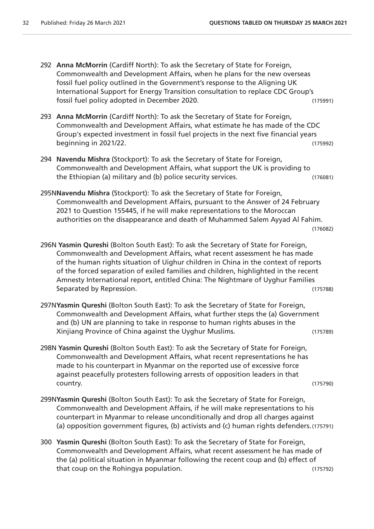- 292 **Anna McMorrin** (Cardiff North): To ask the Secretary of State for Foreign, Commonwealth and Development Affairs, when he plans for the new overseas fossil fuel policy outlined in the Government's response to the Aligning UK International Support for Energy Transition consultation to replace CDC Group's fossil fuel policy adopted in December 2020. (175991)
- 293 **Anna McMorrin** (Cardiff North): To ask the Secretary of State for Foreign, Commonwealth and Development Affairs, what estimate he has made of the CDC Group's expected investment in fossil fuel projects in the next five financial years beginning in 2021/22. (175992)
- 294 **Navendu Mishra** (Stockport): To ask the Secretary of State for Foreign, Commonwealth and Development Affairs, what support the UK is providing to the Ethiopian (a) military and (b) police security services. (176081)
- 295N**Navendu Mishra** (Stockport): To ask the Secretary of State for Foreign, Commonwealth and Development Affairs, pursuant to the Answer of 24 February 2021 to Question 155445, if he will make representations to the Moroccan authorities on the disappearance and death of Muhammed Salem Ayyad Al Fahim.

```
(176082)
```
- 296N **Yasmin Qureshi** (Bolton South East): To ask the Secretary of State for Foreign, Commonwealth and Development Affairs, what recent assessment he has made of the human rights situation of Uighur children in China in the context of reports of the forced separation of exiled families and children, highlighted in the recent Amnesty International report, entitled China: The Nightmare of Uyghur Families Separated by Repression. The settlement of the separated by Repression.
- 297N**Yasmin Qureshi** (Bolton South East): To ask the Secretary of State for Foreign, Commonwealth and Development Affairs, what further steps the (a) Government and (b) UN are planning to take in response to human rights abuses in the Xinjiang Province of China against the Uyghur Muslims. (175789)
- 298N **Yasmin Qureshi** (Bolton South East): To ask the Secretary of State for Foreign, Commonwealth and Development Affairs, what recent representations he has made to his counterpart in Myanmar on the reported use of excessive force against peacefully protesters following arrests of opposition leaders in that country. (175790)
- 299N**Yasmin Qureshi** (Bolton South East): To ask the Secretary of State for Foreign, Commonwealth and Development Affairs, if he will make representations to his counterpart in Myanmar to release unconditionally and drop all charges against (a) opposition government figures, (b) activists and (c) human rights defenders.(175791)
- 300 **Yasmin Qureshi** (Bolton South East): To ask the Secretary of State for Foreign, Commonwealth and Development Affairs, what recent assessment he has made of the (a) political situation in Myanmar following the recent coup and (b) effect of that coup on the Rohingya population. (175792)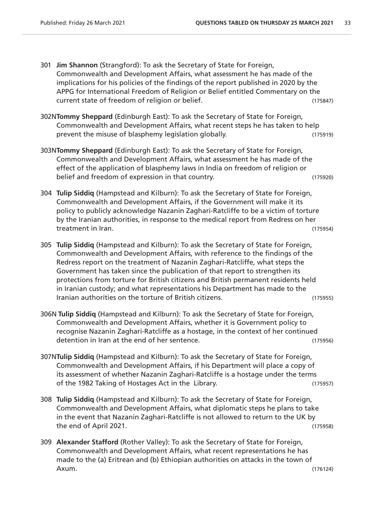- 301 **Jim Shannon** (Strangford): To ask the Secretary of State for Foreign, Commonwealth and Development Affairs, what assessment he has made of the implications for his policies of the findings of the report published in 2020 by the APPG for International Freedom of Religion or Belief entitled Commentary on the current state of freedom of religion or belief. (175847)
- 302N**Tommy Sheppard** (Edinburgh East): To ask the Secretary of State for Foreign, Commonwealth and Development Affairs, what recent steps he has taken to help prevent the misuse of blasphemy legislation globally. (175919)
- 303N**Tommy Sheppard** (Edinburgh East): To ask the Secretary of State for Foreign, Commonwealth and Development Affairs, what assessment he has made of the effect of the application of blasphemy laws in India on freedom of religion or belief and freedom of expression in that country. (175920)
- 304 **Tulip Siddiq** (Hampstead and Kilburn): To ask the Secretary of State for Foreign, Commonwealth and Development Affairs, if the Government will make it its policy to publicly acknowledge Nazanin Zaghari-Ratcliffe to be a victim of torture by the Iranian authorities, in response to the medical report from Redress on her treatment in Iran. (175954)
- 305 **Tulip Siddiq** (Hampstead and Kilburn): To ask the Secretary of State for Foreign, Commonwealth and Development Affairs, with reference to the findings of the Redress report on the treatment of Nazanin Zaghari-Ratcliffe, what steps the Government has taken since the publication of that report to strengthen its protections from torture for British citizens and British permanent residents held in Iranian custody; and what representations his Department has made to the Iranian authorities on the torture of British citizens. (175955)
- 306N **Tulip Siddiq** (Hampstead and Kilburn): To ask the Secretary of State for Foreign, Commonwealth and Development Affairs, whether it is Government policy to recognise Nazanin Zaghari-Ratcliffe as a hostage, in the context of her continued detention in Iran at the end of her sentence. (175956)
- 307N**Tulip Siddiq** (Hampstead and Kilburn): To ask the Secretary of State for Foreign, Commonwealth and Development Affairs, if his Department will place a copy of its assessment of whether Nazanin Zaghari-Ratcliffe is a hostage under the terms of the 1982 Taking of Hostages Act in the Library. (175957)
- 308 **Tulip Siddiq** (Hampstead and Kilburn): To ask the Secretary of State for Foreign, Commonwealth and Development Affairs, what diplomatic steps he plans to take in the event that Nazanin Zaghari-Ratcliffe is not allowed to return to the UK by the end of April 2021. (175958)
- 309 **Alexander Stafford** (Rother Valley): To ask the Secretary of State for Foreign, Commonwealth and Development Affairs, what recent representations he has made to the (a) Eritrean and (b) Ethiopian authorities on attacks in the town of Axum. (176124)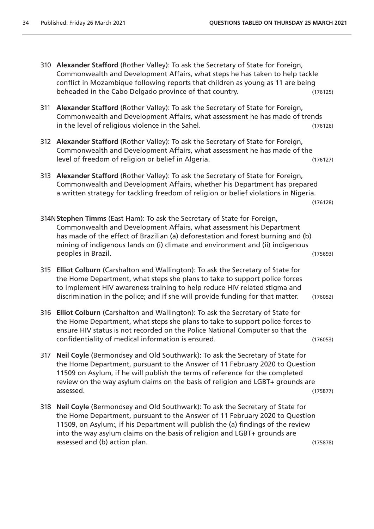- 310 **Alexander Stafford** (Rother Valley): To ask the Secretary of State for Foreign, Commonwealth and Development Affairs, what steps he has taken to help tackle conflict in Mozambique following reports that children as young as 11 are being beheaded in the Cabo Delgado province of that country. (176125)
- 311 **Alexander Stafford** (Rother Valley): To ask the Secretary of State for Foreign, Commonwealth and Development Affairs, what assessment he has made of trends in the level of religious violence in the Sahel. (176126)
- 312 **Alexander Stafford** (Rother Valley): To ask the Secretary of State for Foreign, Commonwealth and Development Affairs, what assessment he has made of the level of freedom of religion or belief in Algeria. (176127)
- 313 **Alexander Stafford** (Rother Valley): To ask the Secretary of State for Foreign, Commonwealth and Development Affairs, whether his Department has prepared a written strategy for tackling freedom of religion or belief violations in Nigeria.

(176128)

- 314N**Stephen Timms** (East Ham): To ask the Secretary of State for Foreign, Commonwealth and Development Affairs, what assessment his Department has made of the effect of Brazilian (a) deforestation and forest burning and (b) mining of indigenous lands on (i) climate and environment and (ii) indigenous peoples in Brazil. (175693)
- 315 **Elliot Colburn** (Carshalton and Wallington): To ask the Secretary of State for the Home Department, what steps she plans to take to support police forces to implement HIV awareness training to help reduce HIV related stigma and discrimination in the police; and if she will provide funding for that matter. (176052)
- 316 **Elliot Colburn** (Carshalton and Wallington): To ask the Secretary of State for the Home Department, what steps she plans to take to support police forces to ensure HIV status is not recorded on the Police National Computer so that the confidentiality of medical information is ensured. (176053)
- 317 **Neil Coyle** (Bermondsey and Old Southwark): To ask the Secretary of State for the Home Department, pursuant to the Answer of 11 February 2020 to Question 11509 on Asylum, if he will publish the terms of reference for the completed review on the way asylum claims on the basis of religion and LGBT+ grounds are assessed. (175877)
- 318 **Neil Coyle** (Bermondsey and Old Southwark): To ask the Secretary of State for the Home Department, pursuant to the Answer of 11 February 2020 to Question 11509, on Asylum:, if his Department will publish the (a) findings of the review into the way asylum claims on the basis of religion and LGBT+ grounds are assessed and (b) action plan. (175878)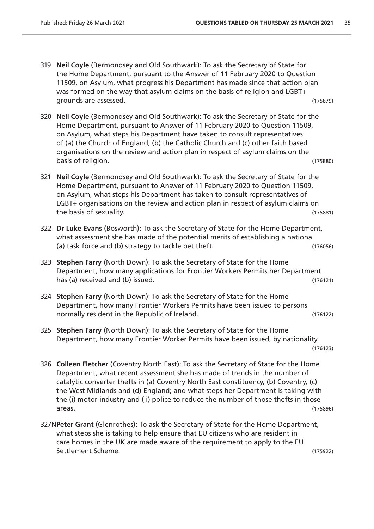- 319 **Neil Coyle** (Bermondsey and Old Southwark): To ask the Secretary of State for the Home Department, pursuant to the Answer of 11 February 2020 to Question 11509, on Asylum, what progress his Department has made since that action plan was formed on the way that asylum claims on the basis of religion and LGBT+ grounds are assessed. (175879)
- 320 **Neil Coyle** (Bermondsey and Old Southwark): To ask the Secretary of State for the Home Department, pursuant to Answer of 11 February 2020 to Question 11509, on Asylum, what steps his Department have taken to consult representatives of (a) the Church of England, (b) the Catholic Church and (c) other faith based organisations on the review and action plan in respect of asylum claims on the basis of religion. (175880)
- 321 **Neil Coyle** (Bermondsey and Old Southwark): To ask the Secretary of State for the Home Department, pursuant to Answer of 11 February 2020 to Question 11509, on Asylum, what steps his Department has taken to consult representatives of LGBT+ organisations on the review and action plan in respect of asylum claims on the basis of sexuality. (175881)
- 322 **Dr Luke Evans** (Bosworth): To ask the Secretary of State for the Home Department, what assessment she has made of the potential merits of establishing a national (a) task force and (b) strategy to tackle pet theft. (176056)
- 323 **Stephen Farry** (North Down): To ask the Secretary of State for the Home Department, how many applications for Frontier Workers Permits her Department has (a) received and (b) issued. (176121)
- 324 **Stephen Farry** (North Down): To ask the Secretary of State for the Home Department, how many Frontier Workers Permits have been issued to persons normally resident in the Republic of Ireland. The contract of the contract of the contract of the contract of the contract of the contract of the contract of the contract of the contract of the contract of the contract of
- 325 **Stephen Farry** (North Down): To ask the Secretary of State for the Home Department, how many Frontier Worker Permits have been issued, by nationality. (176123)
- 326 **Colleen Fletcher** (Coventry North East): To ask the Secretary of State for the Home Department, what recent assessment she has made of trends in the number of catalytic converter thefts in (a) Coventry North East constituency, (b) Coventry, (c) the West Midlands and (d) England; and what steps her Department is taking with the (i) motor industry and (ii) police to reduce the number of those thefts in those areas. (175896)
- 327N**Peter Grant** (Glenrothes): To ask the Secretary of State for the Home Department, what steps she is taking to help ensure that EU citizens who are resident in care homes in the UK are made aware of the requirement to apply to the EU Settlement Scheme. (175922)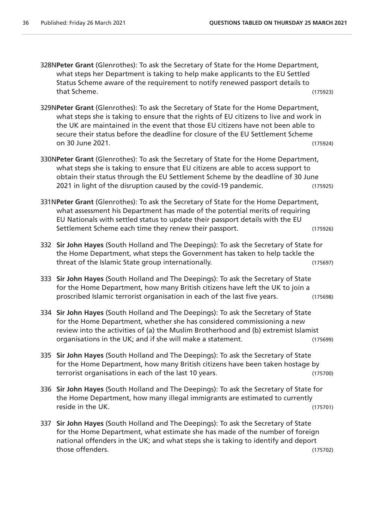- 328N**Peter Grant** (Glenrothes): To ask the Secretary of State for the Home Department, what steps her Department is taking to help make applicants to the EU Settled Status Scheme aware of the requirement to notify renewed passport details to that Scheme. (175923)
- 329N**Peter Grant** (Glenrothes): To ask the Secretary of State for the Home Department, what steps she is taking to ensure that the rights of EU citizens to live and work in the UK are maintained in the event that those EU citizens have not been able to secure their status before the deadline for closure of the EU Settlement Scheme on 30 June 2021. (175924)
- 330N**Peter Grant** (Glenrothes): To ask the Secretary of State for the Home Department, what steps she is taking to ensure that EU citizens are able to access support to obtain their status through the EU Settlement Scheme by the deadline of 30 June 2021 in light of the disruption caused by the covid-19 pandemic. (175925)
- 331N**Peter Grant** (Glenrothes): To ask the Secretary of State for the Home Department, what assessment his Department has made of the potential merits of requiring EU Nationals with settled status to update their passport details with the EU Settlement Scheme each time they renew their passport. (175926)
- 332 **Sir John Hayes** (South Holland and The Deepings): To ask the Secretary of State for the Home Department, what steps the Government has taken to help tackle the threat of the Islamic State group internationally. (175697)
- 333 **Sir John Hayes** (South Holland and The Deepings): To ask the Secretary of State for the Home Department, how many British citizens have left the UK to join a proscribed Islamic terrorist organisation in each of the last five years. (175698)
- 334 **Sir John Hayes** (South Holland and The Deepings): To ask the Secretary of State for the Home Department, whether she has considered commissioning a new review into the activities of (a) the Muslim Brotherhood and (b) extremist Islamist organisations in the UK; and if she will make a statement. (175699)
- 335 **Sir John Hayes** (South Holland and The Deepings): To ask the Secretary of State for the Home Department, how many British citizens have been taken hostage by terrorist organisations in each of the last 10 years. (175700)
- 336 **Sir John Hayes** (South Holland and The Deepings): To ask the Secretary of State for the Home Department, how many illegal immigrants are estimated to currently reside in the UK. (175701)
- 337 **Sir John Hayes** (South Holland and The Deepings): To ask the Secretary of State for the Home Department, what estimate she has made of the number of foreign national offenders in the UK; and what steps she is taking to identify and deport those offenders. (175702)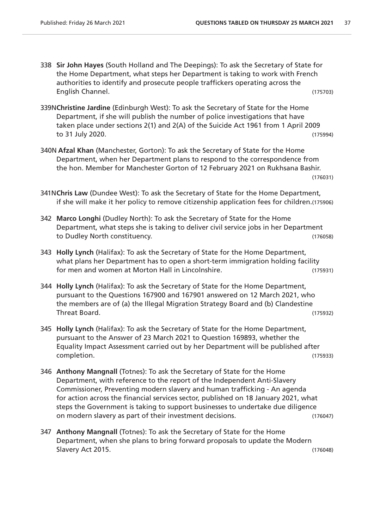- 338 **Sir John Hayes** (South Holland and The Deepings): To ask the Secretary of State for the Home Department, what steps her Department is taking to work with French authorities to identify and prosecute people traffickers operating across the English Channel. (175703)
- 339N**Christine Jardine** (Edinburgh West): To ask the Secretary of State for the Home Department, if she will publish the number of police investigations that have taken place under sections 2(1) and 2(A) of the Suicide Act 1961 from 1 April 2009 to 31 July 2020. (175994)
- 340N **Afzal Khan** (Manchester, Gorton): To ask the Secretary of State for the Home Department, when her Department plans to respond to the correspondence from the hon. Member for Manchester Gorton of 12 February 2021 on Rukhsana Bashir. (176031)
- 341N**Chris Law** (Dundee West): To ask the Secretary of State for the Home Department, if she will make it her policy to remove citizenship application fees for children.(175906)
- 342 **Marco Longhi** (Dudley North): To ask the Secretary of State for the Home Department, what steps she is taking to deliver civil service jobs in her Department to Dudley North constituency. (176058)
- 343 **Holly Lynch** (Halifax): To ask the Secretary of State for the Home Department, what plans her Department has to open a short-term immigration holding facility for men and women at Morton Hall in Lincolnshire. (175931)
- 344 **Holly Lynch** (Halifax): To ask the Secretary of State for the Home Department, pursuant to the Questions 167900 and 167901 answered on 12 March 2021, who the members are of (a) the Illegal Migration Strategy Board and (b) Clandestine Threat Board. (175932)
- 345 **Holly Lynch** (Halifax): To ask the Secretary of State for the Home Department, pursuant to the Answer of 23 March 2021 to Question 169893, whether the Equality Impact Assessment carried out by her Department will be published after completion. (175933)
- 346 **Anthony Mangnall** (Totnes): To ask the Secretary of State for the Home Department, with reference to the report of the Independent Anti-Slavery Commissioner, Preventing modern slavery and human trafficking - An agenda for action across the financial services sector, published on 18 January 2021, what steps the Government is taking to support businesses to undertake due diligence on modern slavery as part of their investment decisions. (176047)
- 347 **Anthony Mangnall** (Totnes): To ask the Secretary of State for the Home Department, when she plans to bring forward proposals to update the Modern Slavery Act 2015. (176048)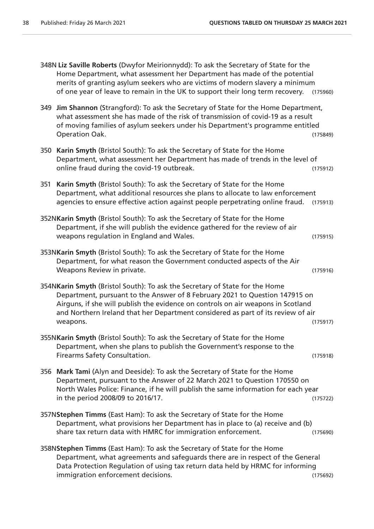|     | 348N Liz Saville Roberts (Dwyfor Meirionnydd): To ask the Secretary of State for the<br>Home Department, what assessment her Department has made of the potential<br>merits of granting asylum seekers who are victims of modern slavery a minimum<br>of one year of leave to remain in the UK to support their long term recovery.            | (175960) |
|-----|------------------------------------------------------------------------------------------------------------------------------------------------------------------------------------------------------------------------------------------------------------------------------------------------------------------------------------------------|----------|
|     | 349 Jim Shannon (Strangford): To ask the Secretary of State for the Home Department,<br>what assessment she has made of the risk of transmission of covid-19 as a result<br>of moving families of asylum seekers under his Department's programme entitled<br>Operation Oak.                                                                   | (175849) |
|     | 350 Karin Smyth (Bristol South): To ask the Secretary of State for the Home<br>Department, what assessment her Department has made of trends in the level of<br>online fraud during the covid-19 outbreak.                                                                                                                                     | (175912) |
| 351 | Karin Smyth (Bristol South): To ask the Secretary of State for the Home<br>Department, what additional resources she plans to allocate to law enforcement<br>agencies to ensure effective action against people perpetrating online fraud.                                                                                                     | (175913) |
|     | 352NKarin Smyth (Bristol South): To ask the Secretary of State for the Home<br>Department, if she will publish the evidence gathered for the review of air<br>weapons regulation in England and Wales.                                                                                                                                         | (175915) |
|     | 353NKarin Smyth (Bristol South): To ask the Secretary of State for the Home<br>Department, for what reason the Government conducted aspects of the Air<br>Weapons Review in private.                                                                                                                                                           | (175916) |
|     | 354NKarin Smyth (Bristol South): To ask the Secretary of State for the Home<br>Department, pursuant to the Answer of 8 February 2021 to Question 147915 on<br>Airguns, if she will publish the evidence on controls on air weapons in Scotland<br>and Northern Ireland that her Department considered as part of its review of air<br>weapons. | (175917) |
|     | 355NKarin Smyth (Bristol South): To ask the Secretary of State for the Home<br>Department, when she plans to publish the Government's response to the<br>Firearms Safety Consultation.                                                                                                                                                         | (175918) |
|     | 356 Mark Tami (Alyn and Deeside): To ask the Secretary of State for the Home<br>Department, pursuant to the Answer of 22 March 2021 to Question 170550 on<br>North Wales Police: Finance, if he will publish the same information for each year<br>in the period 2008/09 to 2016/17.                                                           | (175722) |
|     | 357NStephen Timms (East Ham): To ask the Secretary of State for the Home<br>Department, what provisions her Department has in place to (a) receive and (b)<br>share tax return data with HMRC for immigration enforcement.                                                                                                                     | (175690) |
|     | 358NStephen Timms (East Ham): To ask the Secretary of State for the Home<br>Department, what agreements and safeguards there are in respect of the General<br>Data Protection Regulation of using tax return data held by HRMC for informing<br>immigration enforcement decisions.                                                             | (175692) |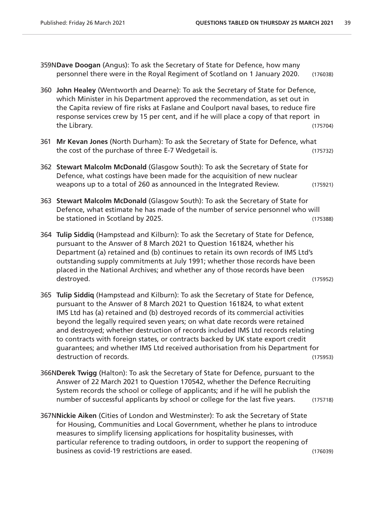- 359N**Dave Doogan** (Angus): To ask the Secretary of State for Defence, how many personnel there were in the Royal Regiment of Scotland on 1 January 2020. (176038)
- 360 **John Healey** (Wentworth and Dearne): To ask the Secretary of State for Defence, which Minister in his Department approved the recommendation, as set out in the Capita review of fire risks at Faslane and Coulport naval bases, to reduce fire response services crew by 15 per cent, and if he will place a copy of that report in the Library. (175704)
- 361 **Mr Kevan Jones** (North Durham): To ask the Secretary of State for Defence, what the cost of the purchase of three E-7 Wedgetail is. (175732)
- 362 **Stewart Malcolm McDonald** (Glasgow South): To ask the Secretary of State for Defence, what costings have been made for the acquisition of new nuclear weapons up to a total of 260 as announced in the Integrated Review. (175921)
- 363 **Stewart Malcolm McDonald** (Glasgow South): To ask the Secretary of State for Defence, what estimate he has made of the number of service personnel who will be stationed in Scotland by 2025. (175388)
- 364 **Tulip Siddiq** (Hampstead and Kilburn): To ask the Secretary of State for Defence, pursuant to the Answer of 8 March 2021 to Question 161824, whether his Department (a) retained and (b) continues to retain its own records of IMS Ltd's outstanding supply commitments at July 1991; whether those records have been placed in the National Archives; and whether any of those records have been destroyed. (175952)
- 365 **Tulip Siddiq** (Hampstead and Kilburn): To ask the Secretary of State for Defence, pursuant to the Answer of 8 March 2021 to Question 161824, to what extent IMS Ltd has (a) retained and (b) destroyed records of its commercial activities beyond the legally required seven years; on what date records were retained and destroyed; whether destruction of records included IMS Ltd records relating to contracts with foreign states, or contracts backed by UK state export credit guarantees; and whether IMS Ltd received authorisation from his Department for destruction of records. (175953)
- 366N**Derek Twigg** (Halton): To ask the Secretary of State for Defence, pursuant to the Answer of 22 March 2021 to Question 170542, whether the Defence Recruiting System records the school or college of applicants; and if he will he publish the number of successful applicants by school or college for the last five years. (175718)
- 367N**Nickie Aiken** (Cities of London and Westminster): To ask the Secretary of State for Housing, Communities and Local Government, whether he plans to introduce measures to simplify licensing applications for hospitality businesses, with particular reference to trading outdoors, in order to support the reopening of business as covid-19 restrictions are eased. (176039)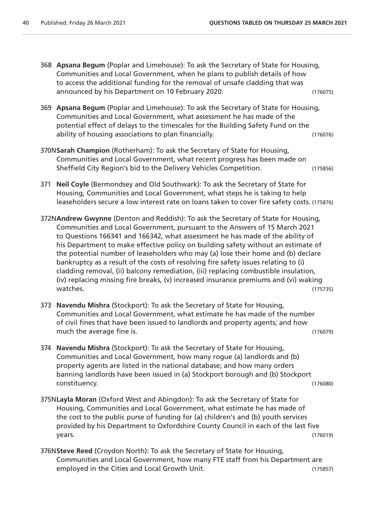- 368 **Apsana Begum** (Poplar and Limehouse): To ask the Secretary of State for Housing, Communities and Local Government, when he plans to publish details of how to access the additional funding for the removal of unsafe cladding that was announced by his Department on 10 February 2020. (176075) 369 **Apsana Begum** (Poplar and Limehouse): To ask the Secretary of State for Housing, Communities and Local Government, what assessment he has made of the potential effect of delays to the timescales for the Building Safety Fund on the ability of housing associations to plan financially. (176076) 370N**Sarah Champion** (Rotherham): To ask the Secretary of State for Housing, Communities and Local Government, what recent progress has been made on Sheffield City Region's bid to the Delivery Vehicles Competition. (175856) 371 **Neil Coyle** (Bermondsey and Old Southwark): To ask the Secretary of State for Housing, Communities and Local Government, what steps he is taking to help leaseholders secure a low interest rate on loans taken to cover fire safety costs. (175876) 372N**Andrew Gwynne** (Denton and Reddish): To ask the Secretary of State for Housing, Communities and Local Government, pursuant to the Answers of 15 March 2021 to Questions 166341 and 166342, what assessment he has made of the ability of his Department to make effective policy on building safety without an estimate of the potential number of leaseholders who may (a) lose their home and (b) declare bankruptcy as a result of the costs of resolving fire safety issues relating to (i) cladding removal, (ii) balcony remediation, (iii) replacing combustible insulation, (iv) replacing missing fire breaks, (v) increased insurance premiums and (vi) waking watches. (175735)
- 373 **Navendu Mishra** (Stockport): To ask the Secretary of State for Housing, Communities and Local Government, what estimate he has made of the number of civil fines that have been issued to landlords and property agents; and how much the average fine is. The average fine is a set of the set of the set of the set of the set of the set of the set of the set of the set of the set of the set of the set of the set of the set of the set of the set of th
- 374 **Navendu Mishra** (Stockport): To ask the Secretary of State for Housing, Communities and Local Government, how many rogue (a) landlords and (b) property agents are listed in the national database; and how many orders banning landlords have been issued in (a) Stockport borough and (b) Stockport constituency. (176080)
- 375N**Layla Moran** (Oxford West and Abingdon): To ask the Secretary of State for Housing, Communities and Local Government, what estimate he has made of the cost to the public purse of funding for (a) children's and (b) youth services provided by his Department to Oxfordshire County Council in each of the last five years. (176019)
- 376N**Steve Reed** (Croydon North): To ask the Secretary of State for Housing, Communities and Local Government, how many FTE staff from his Department are employed in the Cities and Local Growth Unit. (175857)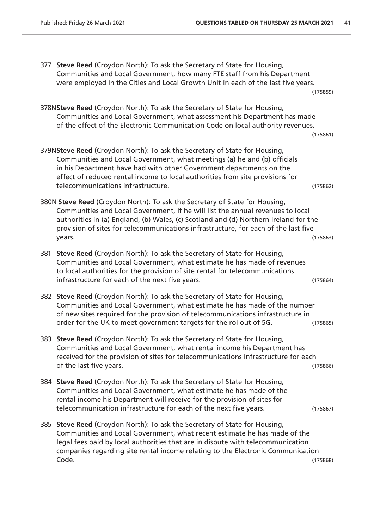377 **Steve Reed** (Croydon North): To ask the Secretary of State for Housing, Communities and Local Government, how many FTE staff from his Department were employed in the Cities and Local Growth Unit in each of the last five years. (175859) 378N**Steve Reed** (Croydon North): To ask the Secretary of State for Housing, Communities and Local Government, what assessment his Department has made of the effect of the Electronic Communication Code on local authority revenues. (175861) 379N**Steve Reed** (Croydon North): To ask the Secretary of State for Housing, Communities and Local Government, what meetings (a) he and (b) officials in his Department have had with other Government departments on the effect of reduced rental income to local authorities from site provisions for telecommunications infrastructure. (175862) 380N **Steve Reed** (Croydon North): To ask the Secretary of State for Housing, Communities and Local Government, if he will list the annual revenues to local authorities in (a) England, (b) Wales, (c) Scotland and (d) Northern Ireland for the provision of sites for telecommunications infrastructure, for each of the last five years. (175863) 381 **Steve Reed** (Croydon North): To ask the Secretary of State for Housing, Communities and Local Government, what estimate he has made of revenues to local authorities for the provision of site rental for telecommunications infrastructure for each of the next five years. (175864) 382 **Steve Reed** (Croydon North): To ask the Secretary of State for Housing, Communities and Local Government, what estimate he has made of the number of new sites required for the provision of telecommunications infrastructure in order for the UK to meet government targets for the rollout of 5G. (175865) 383 **Steve Reed** (Croydon North): To ask the Secretary of State for Housing, Communities and Local Government, what rental income his Department has received for the provision of sites for telecommunications infrastructure for each of the last five years. (175866) 384 **Steve Reed** (Croydon North): To ask the Secretary of State for Housing, Communities and Local Government, what estimate he has made of the rental income his Department will receive for the provision of sites for telecommunication infrastructure for each of the next five years. (175867) 385 **Steve Reed** (Croydon North): To ask the Secretary of State for Housing, Communities and Local Government, what recent estimate he has made of the legal fees paid by local authorities that are in dispute with telecommunication companies regarding site rental income relating to the Electronic Communication Code. (175868)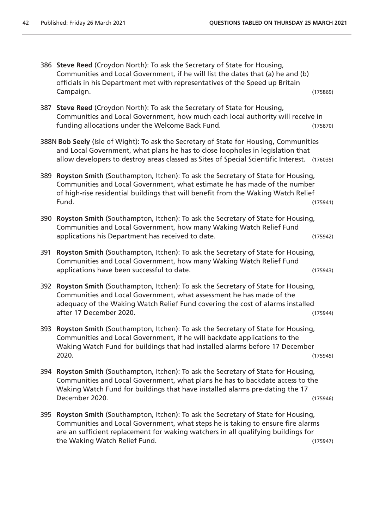|     | 386 Steve Reed (Croydon North): To ask the Secretary of State for Housing,<br>Communities and Local Government, if he will list the dates that (a) he and (b)<br>officials in his Department met with representatives of the Speed up Britain                           |          |
|-----|-------------------------------------------------------------------------------------------------------------------------------------------------------------------------------------------------------------------------------------------------------------------------|----------|
|     | Campaign.                                                                                                                                                                                                                                                               | (175869) |
| 387 | Steve Reed (Croydon North): To ask the Secretary of State for Housing,<br>Communities and Local Government, how much each local authority will receive in<br>funding allocations under the Welcome Back Fund.                                                           | (175870) |
|     | 388N Bob Seely (Isle of Wight): To ask the Secretary of State for Housing, Communities<br>and Local Government, what plans he has to close loopholes in legislation that<br>allow developers to destroy areas classed as Sites of Special Scientific Interest. (176035) |          |
|     | 389 Royston Smith (Southampton, Itchen): To ask the Secretary of State for Housing,<br>Communities and Local Government, what estimate he has made of the number<br>of high-rise residential buildings that will benefit from the Waking Watch Relief<br>Fund.          | (175941) |
| 390 | Royston Smith (Southampton, Itchen): To ask the Secretary of State for Housing,<br>Communities and Local Government, how many Waking Watch Relief Fund<br>applications his Department has received to date.                                                             | (175942) |
| 391 | Royston Smith (Southampton, Itchen): To ask the Secretary of State for Housing,<br>Communities and Local Government, how many Waking Watch Relief Fund<br>applications have been successful to date.                                                                    | (175943) |
| 392 | Royston Smith (Southampton, Itchen): To ask the Secretary of State for Housing,<br>Communities and Local Government, what assessment he has made of the<br>adequacy of the Waking Watch Relief Fund covering the cost of alarms installed<br>after 17 December 2020.    | (175944) |
| 393 | Royston Smith (Southampton, Itchen): To ask the Secretary of State for Housing,<br>Communities and Local Government, if he will backdate applications to the<br>Waking Watch Fund for buildings that had installed alarms before 17 December<br>2020.                   | (175945) |
|     | 394 Royston Smith (Southampton, Itchen): To ask the Secretary of State for Housing,<br>Communities and Local Government, what plans he has to backdate access to the<br>Waking Watch Fund for buildings that have installed alarms pre-dating the 17<br>December 2020.  | (175946) |
| 395 | Royston Smith (Southampton, Itchen): To ask the Secretary of State for Housing,<br>Communities and Local Government, what steps he is taking to ensure fire alarms<br>are an sufficient replacement for waking watchers in all qualifying buildings for                 |          |

the Waking Watch Relief Fund. The Waking Watch Relief Fund.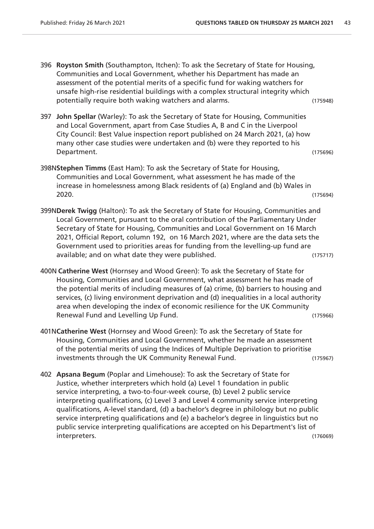- 396 **Royston Smith** (Southampton, Itchen): To ask the Secretary of State for Housing, Communities and Local Government, whether his Department has made an assessment of the potential merits of a specific fund for waking watchers for unsafe high-rise residential buildings with a complex structural integrity which potentially require both waking watchers and alarms. (175948)
- 397 **John Spellar** (Warley): To ask the Secretary of State for Housing, Communities and Local Government, apart from Case Studies A, B and C in the Liverpool City Council: Best Value inspection report published on 24 March 2021, (a) how many other case studies were undertaken and (b) were they reported to his Department. (175696)
- 398N**Stephen Timms** (East Ham): To ask the Secretary of State for Housing, Communities and Local Government, what assessment he has made of the increase in homelessness among Black residents of (a) England and (b) Wales in 2020. (175694)
- 399N**Derek Twigg** (Halton): To ask the Secretary of State for Housing, Communities and Local Government, pursuant to the oral contribution of the Parliamentary Under Secretary of State for Housing, Communities and Local Government on 16 March 2021, Official Report, column 192, on 16 March 2021, where are the data sets the Government used to priorities areas for funding from the levelling-up fund are available; and on what date they were published. (175717)
- 400N **Catherine West** (Hornsey and Wood Green): To ask the Secretary of State for Housing, Communities and Local Government, what assessment he has made of the potential merits of including measures of (a) crime, (b) barriers to housing and services, (c) living environment deprivation and (d) inequalities in a local authority area when developing the index of economic resilience for the UK Community Renewal Fund and Levelling Up Fund. The contract of the contract of the contract of the contract of the contract of the contract of the contract of the contract of the contract of the contract of the contract of the contra
- 401N**Catherine West** (Hornsey and Wood Green): To ask the Secretary of State for Housing, Communities and Local Government, whether he made an assessment of the potential merits of using the Indices of Multiple Deprivation to prioritise investments through the UK Community Renewal Fund. (175967)
- 402 **Apsana Begum** (Poplar and Limehouse): To ask the Secretary of State for Justice, whether interpreters which hold (a) Level 1 foundation in public service interpreting, a two-to-four-week course, (b) Level 2 public service interpreting qualifications, (c) Level 3 and Level 4 community service interpreting qualifications, A-level standard, (d) a bachelor's degree in philology but no public service interpreting qualifications and (e) a bachelor's degree in linguistics but no public service interpreting qualifications are accepted on his Department's list of interpreters. (176069)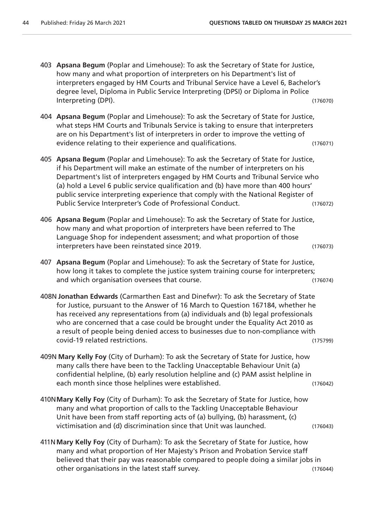- 403 **Apsana Begum** (Poplar and Limehouse): To ask the Secretary of State for Justice, how many and what proportion of interpreters on his Department's list of interpreters engaged by HM Courts and Tribunal Service have a Level 6, Bachelor's degree level, Diploma in Public Service Interpreting (DPSI) or Diploma in Police Interpreting (DPI). (176070)
- 404 **Apsana Begum** (Poplar and Limehouse): To ask the Secretary of State for Justice, what steps HM Courts and Tribunals Service is taking to ensure that interpreters are on his Department's list of interpreters in order to improve the vetting of evidence relating to their experience and qualifications. (176071)
- 405 **Apsana Begum** (Poplar and Limehouse): To ask the Secretary of State for Justice, if his Department will make an estimate of the number of interpreters on his Department's list of interpreters engaged by HM Courts and Tribunal Service who (a) hold a Level 6 public service qualification and (b) have more than 400 hours' public service interpreting experience that comply with the National Register of Public Service Interpreter's Code of Professional Conduct. (176072)
- 406 **Apsana Begum** (Poplar and Limehouse): To ask the Secretary of State for Justice, how many and what proportion of interpreters have been referred to The Language Shop for independent assessment; and what proportion of those interpreters have been reinstated since 2019. (176073)
- 407 **Apsana Begum** (Poplar and Limehouse): To ask the Secretary of State for Justice, how long it takes to complete the justice system training course for interpreters; and which organisation oversees that course. (176074)
- 408N **Jonathan Edwards** (Carmarthen East and Dinefwr): To ask the Secretary of State for Justice, pursuant to the Answer of 16 March to Question 167184, whether he has received any representations from (a) individuals and (b) legal professionals who are concerned that a case could be brought under the Equality Act 2010 as a result of people being denied access to businesses due to non-compliance with covid-19 related restrictions. (175799)
- 409N **Mary Kelly Foy** (City of Durham): To ask the Secretary of State for Justice, how many calls there have been to the Tackling Unacceptable Behaviour Unit (a) confidential helpline, (b) early resolution helpline and (c) PAM assist helpline in each month since those helplines were established. (176042)
- 410N**Mary Kelly Foy** (City of Durham): To ask the Secretary of State for Justice, how many and what proportion of calls to the Tackling Unacceptable Behaviour Unit have been from staff reporting acts of (a) bullying, (b) harassment, (c) victimisation and (d) discrimination since that Unit was launched. (176043)
- 411N**Mary Kelly Foy** (City of Durham): To ask the Secretary of State for Justice, how many and what proportion of Her Majesty's Prison and Probation Service staff believed that their pay was reasonable compared to people doing a similar jobs in other organisations in the latest staff survey. (176044)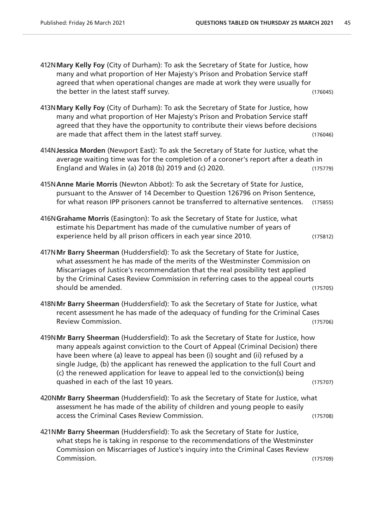| 412N Mary Kelly Foy (City of Durham): To ask the Secretary of State for Justice, how<br>many and what proportion of Her Majesty's Prison and Probation Service staff<br>agreed that when operational changes are made at work they were usually for<br>the better in the latest staff survey.                                                                                                                                                                             | (176045) |  |
|---------------------------------------------------------------------------------------------------------------------------------------------------------------------------------------------------------------------------------------------------------------------------------------------------------------------------------------------------------------------------------------------------------------------------------------------------------------------------|----------|--|
| 413N Mary Kelly Foy (City of Durham): To ask the Secretary of State for Justice, how<br>many and what proportion of Her Majesty's Prison and Probation Service staff<br>agreed that they have the opportunity to contribute their views before decisions<br>are made that affect them in the latest staff survey.                                                                                                                                                         | (176046) |  |
| 414N Jessica Morden (Newport East): To ask the Secretary of State for Justice, what the<br>average waiting time was for the completion of a coroner's report after a death in<br>England and Wales in (a) 2018 (b) 2019 and (c) 2020.                                                                                                                                                                                                                                     | (175779) |  |
| 415N Anne Marie Morris (Newton Abbot): To ask the Secretary of State for Justice,<br>pursuant to the Answer of 14 December to Question 126796 on Prison Sentence,<br>for what reason IPP prisoners cannot be transferred to alternative sentences.                                                                                                                                                                                                                        | (175855) |  |
| 416N Grahame Morris (Easington): To ask the Secretary of State for Justice, what<br>estimate his Department has made of the cumulative number of years of<br>experience held by all prison officers in each year since 2010.                                                                                                                                                                                                                                              | (175812) |  |
| 417N Mr Barry Sheerman (Huddersfield): To ask the Secretary of State for Justice,<br>what assessment he has made of the merits of the Westminster Commission on<br>Miscarriages of Justice's recommendation that the real possibility test applied<br>by the Criminal Cases Review Commission in referring cases to the appeal courts<br>should be amended.                                                                                                               | (175705) |  |
| 418NMr Barry Sheerman (Huddersfield): To ask the Secretary of State for Justice, what<br>recent assessment he has made of the adequacy of funding for the Criminal Cases<br>Review Commission.                                                                                                                                                                                                                                                                            | (175706) |  |
| 419NMr Barry Sheerman (Huddersfield): To ask the Secretary of State for Justice, how<br>many appeals against conviction to the Court of Appeal (Criminal Decision) there<br>have been where (a) leave to appeal has been (i) sought and (ii) refused by a<br>single Judge, (b) the applicant has renewed the application to the full Court and<br>(c) the renewed application for leave to appeal led to the conviction(s) being<br>quashed in each of the last 10 years. | (175707) |  |
| 420NMr Barry Sheerman (Huddersfield): To ask the Secretary of State for Justice, what<br>assessment he has made of the ability of children and young people to easily<br>access the Criminal Cases Review Commission.                                                                                                                                                                                                                                                     | (175708) |  |
| 421NMr Barry Sheerman (Huddersfield): To ask the Secretary of State for Justice,<br>what steps he is taking in response to the recommendations of the Westminster<br>Commission on Miscarriages of Justice's inquiry into the Criminal Cases Review                                                                                                                                                                                                                       |          |  |

Commission. (175709)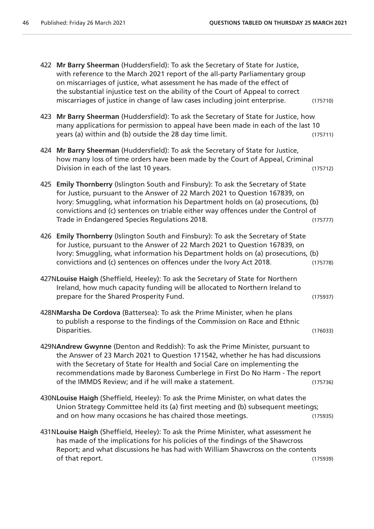422 **Mr Barry Sheerman** (Huddersfield): To ask the Secretary of State for Justice, with reference to the March 2021 report of the all-party Parliamentary group on miscarriages of justice, what assessment he has made of the effect of the substantial injustice test on the ability of the Court of Appeal to correct miscarriages of justice in change of law cases including joint enterprise. (175710) 423 **Mr Barry Sheerman** (Huddersfield): To ask the Secretary of State for Justice, how many applications for permission to appeal have been made in each of the last 10 years (a) within and (b) outside the 28 day time limit. (175711) 424 **Mr Barry Sheerman** (Huddersfield): To ask the Secretary of State for Justice, how many loss of time orders have been made by the Court of Appeal, Criminal Division in each of the last 10 years. (175712) 425 **Emily Thornberry** (Islington South and Finsbury): To ask the Secretary of State for Justice, pursuant to the Answer of 22 March 2021 to Question 167839, on Ivory: Smuggling, what information his Department holds on (a) prosecutions, (b) convictions and (c) sentences on triable either way offences under the Control of Trade in Endangered Species Regulations 2018. (175777) 426 **Emily Thornberry** (Islington South and Finsbury): To ask the Secretary of State for Justice, pursuant to the Answer of 22 March 2021 to Question 167839, on Ivory: Smuggling, what information his Department holds on (a) prosecutions, (b) convictions and (c) sentences on offences under the Ivory Act 2018. (175778) 427N**Louise Haigh** (Sheffield, Heeley): To ask the Secretary of State for Northern Ireland, how much capacity funding will be allocated to Northern Ireland to prepare for the Shared Prosperity Fund. The state of the Shared Prosperity Fund. 428N**Marsha De Cordova** (Battersea): To ask the Prime Minister, when he plans to publish a response to the findings of the Commission on Race and Ethnic Disparities. (176033) 429N**Andrew Gwynne** (Denton and Reddish): To ask the Prime Minister, pursuant to the Answer of 23 March 2021 to Question 171542, whether he has had discussions with the Secretary of State for Health and Social Care on implementing the recommendations made by Baroness Cumberlege in First Do No Harm - The report of the IMMDS Review; and if he will make a statement. (175736) 430N**Louise Haigh** (Sheffield, Heeley): To ask the Prime Minister, on what dates the Union Strategy Committee held its (a) first meeting and (b) subsequent meetings; and on how many occasions he has chaired those meetings. (175935) 431N**Louise Haigh** (Sheffield, Heeley): To ask the Prime Minister, what assessment he has made of the implications for his policies of the findings of the Shawcross Report; and what discussions he has had with William Shawcross on the contents of that report. (175939)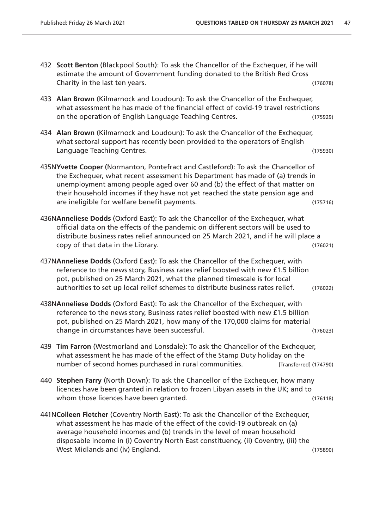- 432 **Scott Benton** (Blackpool South): To ask the Chancellor of the Exchequer, if he will estimate the amount of Government funding donated to the British Red Cross Charity in the last ten years. (176078)
- 433 **Alan Brown** (Kilmarnock and Loudoun): To ask the Chancellor of the Exchequer, what assessment he has made of the financial effect of covid-19 travel restrictions on the operation of English Language Teaching Centres. (175929)
- 434 **Alan Brown** (Kilmarnock and Loudoun): To ask the Chancellor of the Exchequer, what sectoral support has recently been provided to the operators of English Language Teaching Centres. (175930)
- 435N**Yvette Cooper** (Normanton, Pontefract and Castleford): To ask the Chancellor of the Exchequer, what recent assessment his Department has made of (a) trends in unemployment among people aged over 60 and (b) the effect of that matter on their household incomes if they have not yet reached the state pension age and are ineligible for welfare benefit payments. The intervals of the control of the control of the control of the control of the control of the control of the control of the control of the control of the control of the contro
- 436N**Anneliese Dodds** (Oxford East): To ask the Chancellor of the Exchequer, what official data on the effects of the pandemic on different sectors will be used to distribute business rates relief announced on 25 March 2021, and if he will place a copy of that data in the Library. (176021)
- 437N**Anneliese Dodds** (Oxford East): To ask the Chancellor of the Exchequer, with reference to the news story, Business rates relief boosted with new £1.5 billion pot, published on 25 March 2021, what the planned timescale is for local authorities to set up local relief schemes to distribute business rates relief. (176022)
- 438N**Anneliese Dodds** (Oxford East): To ask the Chancellor of the Exchequer, with reference to the news story, Business rates relief boosted with new £1.5 billion pot, published on 25 March 2021, how many of the 170,000 claims for material change in circumstances have been successful. (176023)
- 439 **Tim Farron** (Westmorland and Lonsdale): To ask the Chancellor of the Exchequer, what assessment he has made of the effect of the Stamp Duty holiday on the number of second homes purchased in rural communities. [Transferred] (174790)
- 440 **Stephen Farry** (North Down): To ask the Chancellor of the Exchequer, how many licences have been granted in relation to frozen Libyan assets in the UK; and to whom those licences have been granted. (176118)
- 441N**Colleen Fletcher** (Coventry North East): To ask the Chancellor of the Exchequer, what assessment he has made of the effect of the covid-19 outbreak on (a) average household incomes and (b) trends in the level of mean household disposable income in (i) Coventry North East constituency, (ii) Coventry, (iii) the West Midlands and (iv) England. (175890)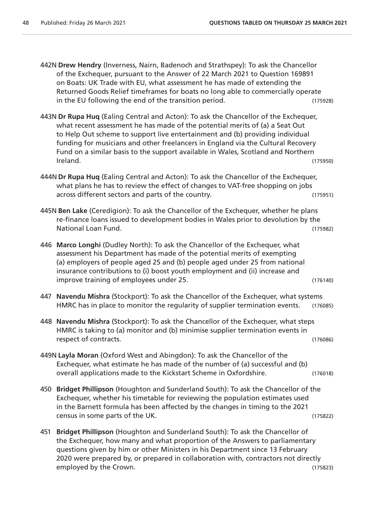442N **Drew Hendry** (Inverness, Nairn, Badenoch and Strathspey): To ask the Chancellor of the Exchequer, pursuant to the Answer of 22 March 2021 to Question 169891 on Boats: UK Trade with EU, what assessment he has made of extending the Returned Goods Relief timeframes for boats no long able to commercially operate in the EU following the end of the transition period. (175928)

- 443N **Dr Rupa Huq** (Ealing Central and Acton): To ask the Chancellor of the Exchequer, what recent assessment he has made of the potential merits of (a) a Seat Out to Help Out scheme to support live entertainment and (b) providing individual funding for musicians and other freelancers in England via the Cultural Recovery Fund on a similar basis to the support available in Wales, Scotland and Northern Ireland. (175950)
- 444N **Dr Rupa Huq** (Ealing Central and Acton): To ask the Chancellor of the Exchequer, what plans he has to review the effect of changes to VAT-free shopping on jobs across different sectors and parts of the country. (175951)
- 445N **Ben Lake** (Ceredigion): To ask the Chancellor of the Exchequer, whether he plans re-finance loans issued to development bodies in Wales prior to devolution by the National Loan Fund. (175982)
- 446 **Marco Longhi** (Dudley North): To ask the Chancellor of the Exchequer, what assessment his Department has made of the potential merits of exempting (a) employers of people aged 25 and (b) people aged under 25 from national insurance contributions to (i) boost youth employment and (ii) increase and improve training of employees under 25. (176140)
- 447 **Navendu Mishra** (Stockport): To ask the Chancellor of the Exchequer, what systems HMRC has in place to monitor the regularity of supplier termination events. (176085)
- 448 **Navendu Mishra** (Stockport): To ask the Chancellor of the Exchequer, what steps HMRC is taking to (a) monitor and (b) minimise supplier termination events in respect of contracts. (176086)
- 449N **Layla Moran** (Oxford West and Abingdon): To ask the Chancellor of the Exchequer, what estimate he has made of the number of (a) successful and (b) overall applications made to the Kickstart Scheme in Oxfordshire. (176018)
- 450 **Bridget Phillipson** (Houghton and Sunderland South): To ask the Chancellor of the Exchequer, whether his timetable for reviewing the population estimates used in the Barnett formula has been affected by the changes in timing to the 2021 census in some parts of the UK. (175822)
- 451 **Bridget Phillipson** (Houghton and Sunderland South): To ask the Chancellor of the Exchequer, how many and what proportion of the Answers to parliamentary questions given by him or other Ministers in his Department since 13 February 2020 were prepared by, or prepared in collaboration with, contractors not directly employed by the Crown. (175823)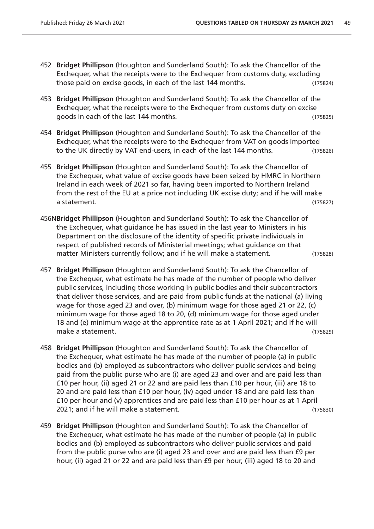- 452 **Bridget Phillipson** (Houghton and Sunderland South): To ask the Chancellor of the Exchequer, what the receipts were to the Exchequer from customs duty, excluding those paid on excise goods, in each of the last 144 months. (175824)
- 453 **Bridget Phillipson** (Houghton and Sunderland South): To ask the Chancellor of the Exchequer, what the receipts were to the Exchequer from customs duty on excise goods in each of the last 144 months. (175825)
- 454 **Bridget Phillipson** (Houghton and Sunderland South): To ask the Chancellor of the Exchequer, what the receipts were to the Exchequer from VAT on goods imported to the UK directly by VAT end-users, in each of the last 144 months. (175826)
- 455 **Bridget Phillipson** (Houghton and Sunderland South): To ask the Chancellor of the Exchequer, what value of excise goods have been seized by HMRC in Northern Ireland in each week of 2021 so far, having been imported to Northern Ireland from the rest of the EU at a price not including UK excise duty; and if he will make a statement. (175827)
- 456N**Bridget Phillipson** (Houghton and Sunderland South): To ask the Chancellor of the Exchequer, what guidance he has issued in the last year to Ministers in his Department on the disclosure of the identity of specific private individuals in respect of published records of Ministerial meetings; what guidance on that matter Ministers currently follow; and if he will make a statement. (175828)
- 457 **Bridget Phillipson** (Houghton and Sunderland South): To ask the Chancellor of the Exchequer, what estimate he has made of the number of people who deliver public services, including those working in public bodies and their subcontractors that deliver those services, and are paid from public funds at the national (a) living wage for those aged 23 and over, (b) minimum wage for those aged 21 or 22, (c) minimum wage for those aged 18 to 20, (d) minimum wage for those aged under 18 and (e) minimum wage at the apprentice rate as at 1 April 2021; and if he will make a statement. (175829)
- 458 **Bridget Phillipson** (Houghton and Sunderland South): To ask the Chancellor of the Exchequer, what estimate he has made of the number of people (a) in public bodies and (b) employed as subcontractors who deliver public services and being paid from the public purse who are (i) are aged 23 and over and are paid less than £10 per hour, (ii) aged 21 or 22 and are paid less than £10 per hour, (iii) are 18 to 20 and are paid less than £10 per hour, (iv) aged under 18 and are paid less than £10 per hour and (v) apprentices and are paid less than £10 per hour as at 1 April 2021; and if he will make a statement. (175830)
- 459 **Bridget Phillipson** (Houghton and Sunderland South): To ask the Chancellor of the Exchequer, what estimate he has made of the number of people (a) in public bodies and (b) employed as subcontractors who deliver public services and paid from the public purse who are (i) aged 23 and over and are paid less than £9 per hour, (ii) aged 21 or 22 and are paid less than £9 per hour, (iii) aged 18 to 20 and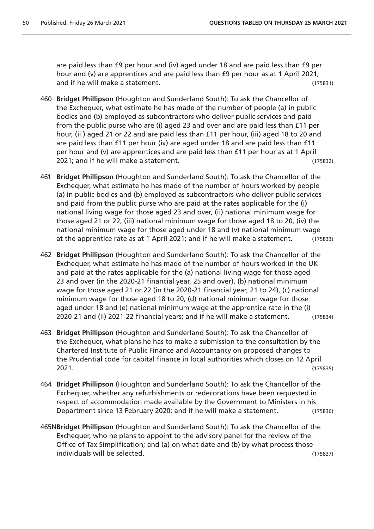are paid less than £9 per hour and (iv) aged under 18 and are paid less than £9 per hour and (v) are apprentices and are paid less than £9 per hour as at 1 April 2021; and if he will make a statement. (175831)

- 460 **Bridget Phillipson** (Houghton and Sunderland South): To ask the Chancellor of the Exchequer, what estimate he has made of the number of people (a) in public bodies and (b) employed as subcontractors who deliver public services and paid from the public purse who are (i) aged 23 and over and are paid less than £11 per hour, (ii) aged 21 or 22 and are paid less than £11 per hour, (iii) aged 18 to 20 and are paid less than £11 per hour (iv) are aged under 18 and are paid less than £11 per hour and (v) are apprentices and are paid less than £11 per hour as at 1 April 2021; and if he will make a statement. (175832)
- 461 **Bridget Phillipson** (Houghton and Sunderland South): To ask the Chancellor of the Exchequer, what estimate he has made of the number of hours worked by people (a) in public bodies and (b) employed as subcontractors who deliver public services and paid from the public purse who are paid at the rates applicable for the (i) national living wage for those aged 23 and over, (ii) national minimum wage for those aged 21 or 22, (iii) national minimum wage for those aged 18 to 20, (iv) the national minimum wage for those aged under 18 and (v) national minimum wage at the apprentice rate as at 1 April 2021; and if he will make a statement. (175833)
- 462 **Bridget Phillipson** (Houghton and Sunderland South): To ask the Chancellor of the Exchequer, what estimate he has made of the number of hours worked in the UK and paid at the rates applicable for the (a) national living wage for those aged 23 and over (in the 2020-21 financial year, 25 and over), (b) national minimum wage for those aged 21 or 22 (in the 2020-21 financial year, 21 to 24), (c) national minimum wage for those aged 18 to 20, (d) national minimum wage for those aged under 18 and (e) national minimum wage at the apprentice rate in the (i) 2020-21 and (ii) 2021-22 financial years; and if he will make a statement. (175834)
- 463 **Bridget Phillipson** (Houghton and Sunderland South): To ask the Chancellor of the Exchequer, what plans he has to make a submission to the consultation by the Chartered Institute of Public Finance and Accountancy on proposed changes to the Prudential code for capital finance in local authorities which closes on 12 April 2021. (175835)
- 464 **Bridget Phillipson** (Houghton and Sunderland South): To ask the Chancellor of the Exchequer, whether any refurbishments or redecorations have been requested in respect of accommodation made available by the Government to Ministers in his Department since 13 February 2020; and if he will make a statement. (175836)
- 465N**Bridget Phillipson** (Houghton and Sunderland South): To ask the Chancellor of the Exchequer, who he plans to appoint to the advisory panel for the review of the Office of Tax Simplification; and (a) on what date and (b) by what process those individuals will be selected. (175837)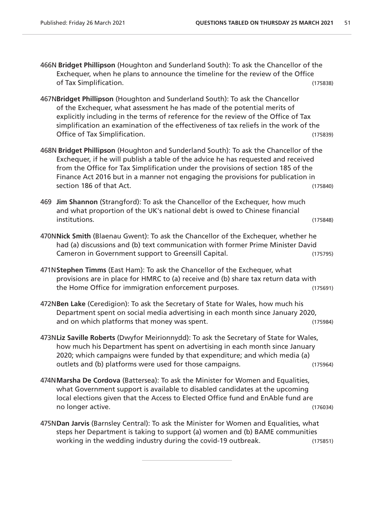- 466N **Bridget Phillipson** (Houghton and Sunderland South): To ask the Chancellor of the Exchequer, when he plans to announce the timeline for the review of the Office of Tax Simplification. (175838)
- 467N**Bridget Phillipson** (Houghton and Sunderland South): To ask the Chancellor of the Exchequer, what assessment he has made of the potential merits of explicitly including in the terms of reference for the review of the Office of Tax simplification an examination of the effectiveness of tax reliefs in the work of the Office of Tax Simplification. (175839)
- 468N **Bridget Phillipson** (Houghton and Sunderland South): To ask the Chancellor of the Exchequer, if he will publish a table of the advice he has requested and received from the Office for Tax Simplification under the provisions of section 185 of the Finance Act 2016 but in a manner not engaging the provisions for publication in section 186 of that Act. (175840)
- 469 **Jim Shannon** (Strangford): To ask the Chancellor of the Exchequer, how much and what proportion of the UK's national debt is owed to Chinese financial institutions. (175848)
- 470N**Nick Smith** (Blaenau Gwent): To ask the Chancellor of the Exchequer, whether he had (a) discussions and (b) text communication with former Prime Minister David Cameron in Government support to Greensill Capital. (175795)
- 471N**Stephen Timms** (East Ham): To ask the Chancellor of the Exchequer, what provisions are in place for HMRC to (a) receive and (b) share tax return data with the Home Office for immigration enforcement purposes. (175691)
- 472N**Ben Lake** (Ceredigion): To ask the Secretary of State for Wales, how much his Department spent on social media advertising in each month since January 2020, and on which platforms that money was spent. The same control on which platforms that money was spent.
- 473N**Liz Saville Roberts** (Dwyfor Meirionnydd): To ask the Secretary of State for Wales, how much his Department has spent on advertising in each month since January 2020; which campaigns were funded by that expenditure; and which media (a) outlets and (b) platforms were used for those campaigns. (175964)
- 474N**Marsha De Cordova** (Battersea): To ask the Minister for Women and Equalities, what Government support is available to disabled candidates at the upcoming local elections given that the Access to Elected Office fund and EnAble fund are no longer active. (176034)
- 475N**Dan Jarvis** (Barnsley Central): To ask the Minister for Women and Equalities, what steps her Department is taking to support (a) women and (b) BAME communities working in the wedding industry during the covid-19 outbreak. (175851)